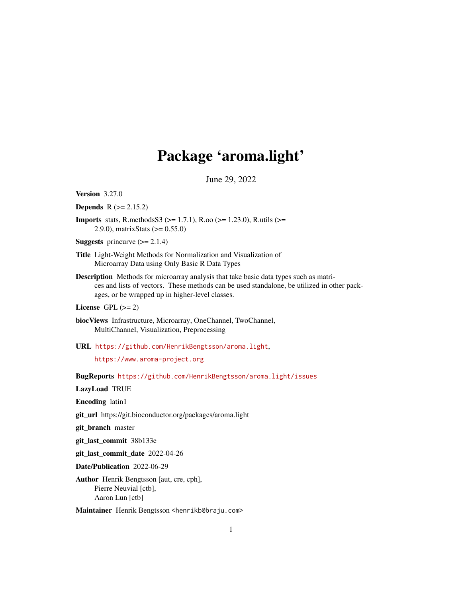# Package 'aroma.light'

June 29, 2022

<span id="page-0-0"></span>Version 3.27.0

**Depends**  $R (= 2.15.2)$ 

**Imports** stats, R.methodsS3 ( $> = 1.7.1$ ), R.oo ( $> = 1.23.0$ ), R.utils ( $> =$ 2.9.0), matrixStats (>= 0.55.0)

**Suggests** princurve  $(>= 2.1.4)$ 

- Title Light-Weight Methods for Normalization and Visualization of Microarray Data using Only Basic R Data Types
- Description Methods for microarray analysis that take basic data types such as matrices and lists of vectors. These methods can be used standalone, be utilized in other packages, or be wrapped up in higher-level classes.
- License GPL  $(>= 2)$
- biocViews Infrastructure, Microarray, OneChannel, TwoChannel, MultiChannel, Visualization, Preprocessing
- URL <https://github.com/HenrikBengtsson/aroma.light>,

<https://www.aroma-project.org>

BugReports <https://github.com/HenrikBengtsson/aroma.light/issues>

LazyLoad TRUE

Encoding latin1

git\_url https://git.bioconductor.org/packages/aroma.light

git\_branch master

git\_last\_commit 38b133e

git\_last\_commit\_date 2022-04-26

Date/Publication 2022-06-29

Author Henrik Bengtsson [aut, cre, cph], Pierre Neuvial [ctb], Aaron Lun [ctb]

Maintainer Henrik Bengtsson <henrikb@braju.com>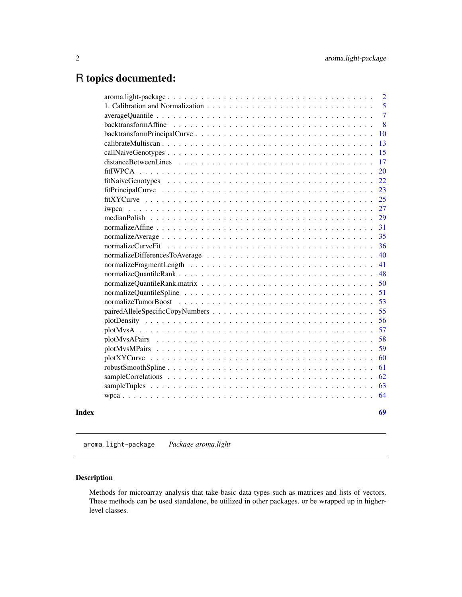## <span id="page-1-0"></span>R topics documented:

|       | $aroma. light-package. \ldots \ldots \ldots \ldots \ldots \ldots \ldots \ldots \ldots \ldots \ldots \ldots \ldots$ | $\overline{2}$ |
|-------|--------------------------------------------------------------------------------------------------------------------|----------------|
|       |                                                                                                                    | 5              |
|       |                                                                                                                    | $\overline{7}$ |
|       |                                                                                                                    | 8              |
|       |                                                                                                                    | 10             |
|       |                                                                                                                    | 13             |
|       |                                                                                                                    | 15             |
|       |                                                                                                                    | 17             |
|       |                                                                                                                    | 20             |
|       |                                                                                                                    | 22             |
|       |                                                                                                                    | 23             |
|       |                                                                                                                    | 25             |
|       | iwpca                                                                                                              | 27             |
|       |                                                                                                                    | 29             |
|       |                                                                                                                    | 31             |
|       |                                                                                                                    | 35             |
|       |                                                                                                                    | 36             |
|       |                                                                                                                    | 40             |
|       |                                                                                                                    | 41             |
|       |                                                                                                                    | 48             |
|       |                                                                                                                    | 50             |
|       |                                                                                                                    | 51             |
|       |                                                                                                                    | 53             |
|       |                                                                                                                    | 55             |
|       |                                                                                                                    | 56             |
|       |                                                                                                                    | 57             |
|       |                                                                                                                    | 58             |
|       |                                                                                                                    | 59             |
|       |                                                                                                                    | 60             |
|       |                                                                                                                    | 61             |
|       |                                                                                                                    | 62             |
|       |                                                                                                                    | 63             |
|       |                                                                                                                    | 64             |
| Index |                                                                                                                    | 69             |

aroma.light-package *Package aroma.light*

## Description

Methods for microarray analysis that take basic data types such as matrices and lists of vectors. These methods can be used standalone, be utilized in other packages, or be wrapped up in higherlevel classes.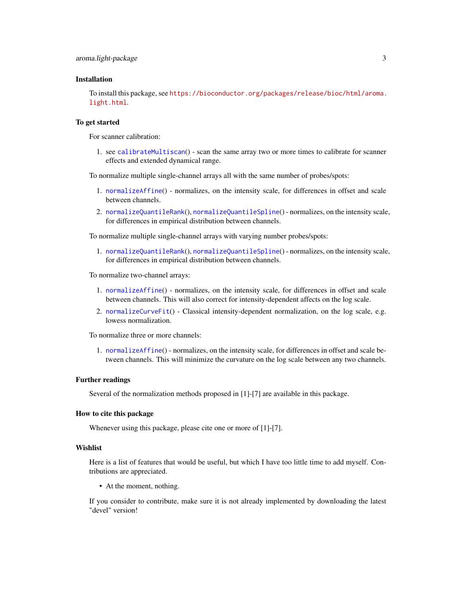#### <span id="page-2-0"></span>Installation

To install this package, see [https://bioconductor.org/packages/release/bioc/html/aroma.](https://bioconductor.org/packages/release/bioc/html/aroma.light.html) [light.html](https://bioconductor.org/packages/release/bioc/html/aroma.light.html).

#### To get started

For scanner calibration:

1. see [calibrateMultiscan](#page-12-1)() - scan the same array two or more times to calibrate for scanner effects and extended dynamical range.

To normalize multiple single-channel arrays all with the same number of probes/spots:

- 1. [normalizeAffine](#page-30-1)() normalizes, on the intensity scale, for differences in offset and scale between channels.
- 2. [normalizeQuantileRank](#page-47-1)(), [normalizeQuantileSpline](#page-50-1)() normalizes, on the intensity scale, for differences in empirical distribution between channels.

To normalize multiple single-channel arrays with varying number probes/spots:

1. [normalizeQuantileRank](#page-47-1)(), [normalizeQuantileSpline](#page-50-1)() - normalizes, on the intensity scale, for differences in empirical distribution between channels.

To normalize two-channel arrays:

- 1. [normalizeAffine](#page-30-1)() normalizes, on the intensity scale, for differences in offset and scale between channels. This will also correct for intensity-dependent affects on the log scale.
- 2. [normalizeCurveFit](#page-35-1)() Classical intensity-dependent normalization, on the log scale, e.g. lowess normalization.

To normalize three or more channels:

1. [normalizeAffine](#page-30-1)() - normalizes, on the intensity scale, for differences in offset and scale between channels. This will minimize the curvature on the log scale between any two channels.

#### Further readings

Several of the normalization methods proposed in [1]-[7] are available in this package.

#### How to cite this package

Whenever using this package, please cite one or more of [1]-[7].

#### Wishlist

Here is a list of features that would be useful, but which I have too little time to add myself. Contributions are appreciated.

• At the moment, nothing.

If you consider to contribute, make sure it is not already implemented by downloading the latest "devel" version!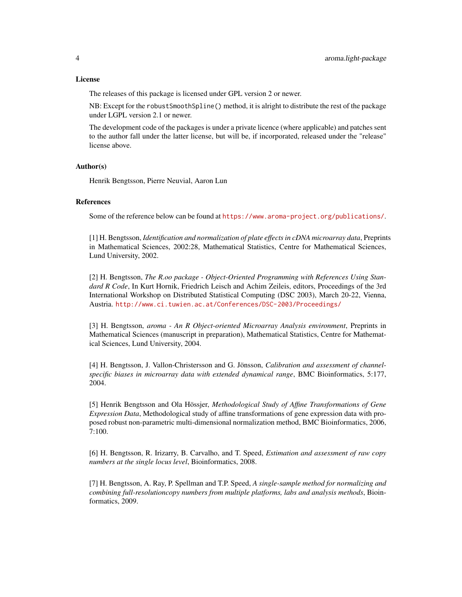#### License

The releases of this package is licensed under GPL version 2 or newer.

NB: Except for the robustSmoothSpline() method, it is alright to distribute the rest of the package under LGPL version 2.1 or newer.

The development code of the packages is under a private licence (where applicable) and patches sent to the author fall under the latter license, but will be, if incorporated, released under the "release" license above.

## Author(s)

Henrik Bengtsson, Pierre Neuvial, Aaron Lun

#### References

Some of the reference below can be found at <https://www.aroma-project.org/publications/>.

[1] H. Bengtsson, *Identification and normalization of plate effects in cDNA microarray data*, Preprints in Mathematical Sciences, 2002:28, Mathematical Statistics, Centre for Mathematical Sciences, Lund University, 2002.

[2] H. Bengtsson, *The R.oo package - Object-Oriented Programming with References Using Standard R Code*, In Kurt Hornik, Friedrich Leisch and Achim Zeileis, editors, Proceedings of the 3rd International Workshop on Distributed Statistical Computing (DSC 2003), March 20-22, Vienna, Austria. <http://www.ci.tuwien.ac.at/Conferences/DSC-2003/Proceedings/>

[3] H. Bengtsson, *aroma - An R Object-oriented Microarray Analysis environment*, Preprints in Mathematical Sciences (manuscript in preparation), Mathematical Statistics, Centre for Mathematical Sciences, Lund University, 2004.

[4] H. Bengtsson, J. Vallon-Christersson and G. Jönsson, *Calibration and assessment of channelspecific biases in microarray data with extended dynamical range*, BMC Bioinformatics, 5:177, 2004.

[5] Henrik Bengtsson and Ola Hössjer, *Methodological Study of Affine Transformations of Gene Expression Data*, Methodological study of affine transformations of gene expression data with proposed robust non-parametric multi-dimensional normalization method, BMC Bioinformatics, 2006, 7:100.

[6] H. Bengtsson, R. Irizarry, B. Carvalho, and T. Speed, *Estimation and assessment of raw copy numbers at the single locus level*, Bioinformatics, 2008.

[7] H. Bengtsson, A. Ray, P. Spellman and T.P. Speed, *A single-sample method for normalizing and combining full-resolutioncopy numbers from multiple platforms, labs and analysis methods*, Bioinformatics, 2009.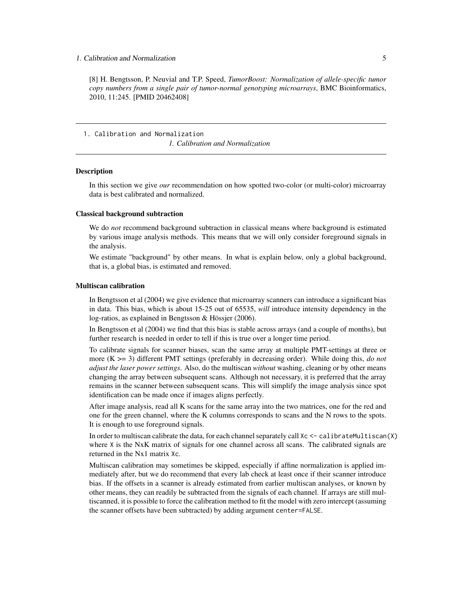<span id="page-4-0"></span>[8] H. Bengtsson, P. Neuvial and T.P. Speed, *TumorBoost: Normalization of allele-specific tumor copy numbers from a single pair of tumor-normal genotyping microarrays*, BMC Bioinformatics, 2010, 11:245. [PMID 20462408]

1. Calibration and Normalization

*1. Calibration and Normalization*

#### **Description**

In this section we give *our* recommendation on how spotted two-color (or multi-color) microarray data is best calibrated and normalized.

#### Classical background subtraction

We do *not* recommend background subtraction in classical means where background is estimated by various image analysis methods. This means that we will only consider foreground signals in the analysis.

We estimate "background" by other means. In what is explain below, only a global background, that is, a global bias, is estimated and removed.

#### Multiscan calibration

In Bengtsson et al (2004) we give evidence that microarray scanners can introduce a significant bias in data. This bias, which is about 15-25 out of 65535, *will* introduce intensity dependency in the log-ratios, as explained in Bengtsson & Hössjer (2006).

In Bengtsson et al (2004) we find that this bias is stable across arrays (and a couple of months), but further research is needed in order to tell if this is true over a longer time period.

To calibrate signals for scanner biases, scan the same array at multiple PMT-settings at three or more (K >= 3) different PMT settings (preferably in decreasing order). While doing this, *do not adjust the laser power settings*. Also, do the multiscan *without* washing, cleaning or by other means changing the array between subsequent scans. Although not necessary, it is preferred that the array remains in the scanner between subsequent scans. This will simplify the image analysis since spot identification can be made once if images aligns perfectly.

After image analysis, read all K scans for the same array into the two matrices, one for the red and one for the green channel, where the K columns corresponds to scans and the N rows to the spots. It is enough to use foreground signals.

In order to multiscan calibrate the data, for each channel separately call  $Xc \leq \text{calibrateMult}$ where  $X$  is the NxK matrix of signals for one channel across all scans. The calibrated signals are returned in the Nx1 matrix Xc.

Multiscan calibration may sometimes be skipped, especially if affine normalization is applied immediately after, but we do recommend that every lab check at least once if their scanner introduce bias. If the offsets in a scanner is already estimated from earlier multiscan analyses, or known by other means, they can readily be subtracted from the signals of each channel. If arrays are still multiscanned, it is possible to force the calibration method to fit the model with zero intercept (assuming the scanner offsets have been subtracted) by adding argument center=FALSE.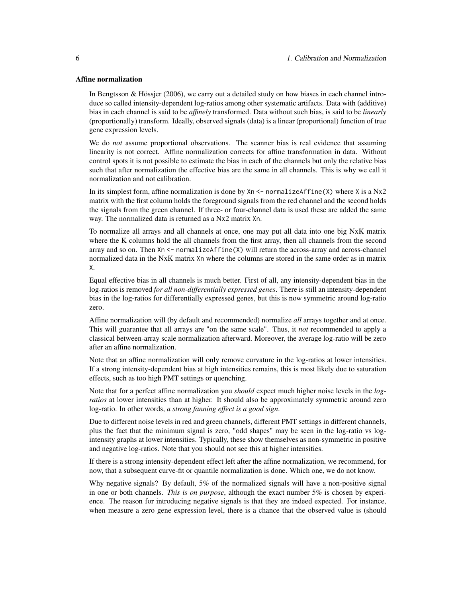#### Affine normalization

In Bengtsson & Hössjer (2006), we carry out a detailed study on how biases in each channel introduce so called intensity-dependent log-ratios among other systematic artifacts. Data with (additive) bias in each channel is said to be *affinely* transformed. Data without such bias, is said to be *linearly* (proportionally) transform. Ideally, observed signals (data) is a linear (proportional) function of true gene expression levels.

We do *not* assume proportional observations. The scanner bias is real evidence that assuming linearity is not correct. Affine normalization corrects for affine transformation in data. Without control spots it is not possible to estimate the bias in each of the channels but only the relative bias such that after normalization the effective bias are the same in all channels. This is why we call it normalization and not calibration.

In its simplest form, affine normalization is done by  $X_n \leq$  normalize Affine (X) where X is a Nx2 matrix with the first column holds the foreground signals from the red channel and the second holds the signals from the green channel. If three- or four-channel data is used these are added the same way. The normalized data is returned as a Nx2 matrix Xn.

To normalize all arrays and all channels at once, one may put all data into one big NxK matrix where the K columns hold the all channels from the first array, then all channels from the second array and so on. Then Xn <- normalizeAffine(X) will return the across-array and across-channel normalized data in the NxK matrix Xn where the columns are stored in the same order as in matrix X.

Equal effective bias in all channels is much better. First of all, any intensity-dependent bias in the log-ratios is removed *for all non-differentially expressed genes*. There is still an intensity-dependent bias in the log-ratios for differentially expressed genes, but this is now symmetric around log-ratio zero.

Affine normalization will (by default and recommended) normalize *all* arrays together and at once. This will guarantee that all arrays are "on the same scale". Thus, it *not* recommended to apply a classical between-array scale normalization afterward. Moreover, the average log-ratio will be zero after an affine normalization.

Note that an affine normalization will only remove curvature in the log-ratios at lower intensities. If a strong intensity-dependent bias at high intensities remains, this is most likely due to saturation effects, such as too high PMT settings or quenching.

Note that for a perfect affine normalization you *should* expect much higher noise levels in the *logratios* at lower intensities than at higher. It should also be approximately symmetric around zero log-ratio. In other words, *a strong fanning effect is a good sign*.

Due to different noise levels in red and green channels, different PMT settings in different channels, plus the fact that the minimum signal is zero, "odd shapes" may be seen in the log-ratio vs logintensity graphs at lower intensities. Typically, these show themselves as non-symmetric in positive and negative log-ratios. Note that you should not see this at higher intensities.

If there is a strong intensity-dependent effect left after the affine normalization, we recommend, for now, that a subsequent curve-fit or quantile normalization is done. Which one, we do not know.

Why negative signals? By default, 5% of the normalized signals will have a non-positive signal in one or both channels. *This is on purpose*, although the exact number 5% is chosen by experience. The reason for introducing negative signals is that they are indeed expected. For instance, when measure a zero gene expression level, there is a chance that the observed value is (should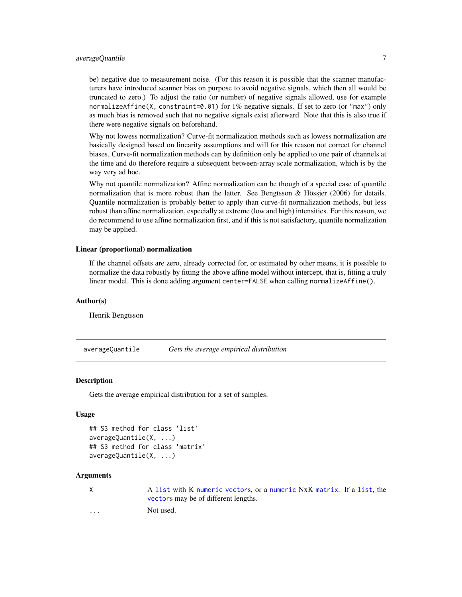## <span id="page-6-0"></span>averageQuantile 7

be) negative due to measurement noise. (For this reason it is possible that the scanner manufacturers have introduced scanner bias on purpose to avoid negative signals, which then all would be truncated to zero.) To adjust the ratio (or number) of negative signals allowed, use for example normalizeAffine(X, constraint=0.01) for 1% negative signals. If set to zero (or "max") only as much bias is removed such that no negative signals exist afterward. Note that this is also true if there were negative signals on beforehand.

Why not lowess normalization? Curve-fit normalization methods such as lowess normalization are basically designed based on linearity assumptions and will for this reason not correct for channel biases. Curve-fit normalization methods can by definition only be applied to one pair of channels at the time and do therefore require a subsequent between-array scale normalization, which is by the way very ad hoc.

Why not quantile normalization? Affine normalization can be though of a special case of quantile normalization that is more robust than the latter. See Bengtsson & Hössjer (2006) for details. Quantile normalization is probably better to apply than curve-fit normalization methods, but less robust than affine normalization, especially at extreme (low and high) intensities. For this reason, we do recommend to use affine normalization first, and if this is not satisfactory, quantile normalization may be applied.

#### Linear (proportional) normalization

If the channel offsets are zero, already corrected for, or estimated by other means, it is possible to normalize the data robustly by fitting the above affine model without intercept, that is, fitting a truly linear model. This is done adding argument center=FALSE when calling normalizeAffine().

#### Author(s)

Henrik Bengtsson

<span id="page-6-1"></span>averageQuantile *Gets the average empirical distribution*

#### **Description**

Gets the average empirical distribution for a set of samples.

#### Usage

```
## S3 method for class 'list'
averageQuantile(X, ...)
## S3 method for class 'matrix'
averageQuantile(X, ...)
```
#### Arguments

| X                       | A list with K numeric vectors, or a numeric NxK matrix. If a list, the |
|-------------------------|------------------------------------------------------------------------|
|                         | vectors may be of different lengths.                                   |
| $\cdot$ $\cdot$ $\cdot$ | Not used.                                                              |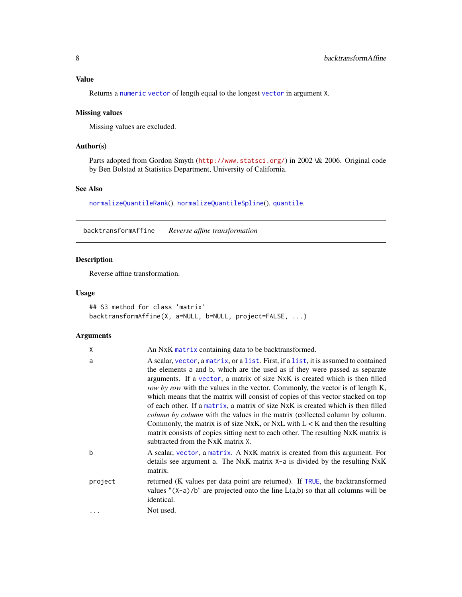## <span id="page-7-0"></span>Value

Returns a [numeric](#page-0-0) [vector](#page-0-0) of length equal to the longest [vector](#page-0-0) in argument X.

## Missing values

Missing values are excluded.

## Author(s)

Parts adopted from Gordon Smyth (<http://www.statsci.org/>) in 2002 \& 2006. Original code by Ben Bolstad at Statistics Department, University of California.

## See Also

[normalizeQuantileRank](#page-47-1)(). [normalizeQuantileSpline](#page-50-1)(). [quantile](#page-0-0).

backtransformAffine *Reverse affine transformation*

## Description

Reverse affine transformation.

#### Usage

```
## S3 method for class 'matrix'
backtransformAffine(X, a=NULL, b=NULL, project=FALSE, ...)
```
## Arguments

| χ       | An NxK matrix containing data to be backtransformed.                                                                                                                                                                                                                                                                                                                                                                                                                                                                                                                                                                                                                                                                                                                                                            |
|---------|-----------------------------------------------------------------------------------------------------------------------------------------------------------------------------------------------------------------------------------------------------------------------------------------------------------------------------------------------------------------------------------------------------------------------------------------------------------------------------------------------------------------------------------------------------------------------------------------------------------------------------------------------------------------------------------------------------------------------------------------------------------------------------------------------------------------|
| a       | A scalar, vector, a matrix, or a list. First, if a list, it is assumed to contained<br>the elements a and b, which are the used as if they were passed as separate<br>arguments. If a vector, a matrix of size NxK is created which is then filled<br>row by row with the values in the vector. Commonly, the vector is of length K,<br>which means that the matrix will consist of copies of this vector stacked on top<br>of each other. If a matrix, a matrix of size NxK is created which is then filled<br><i>column by column with the values in the matrix (collected column by column.</i><br>Commonly, the matrix is of size NxK, or NxL with $L < K$ and then the resulting<br>matrix consists of copies sitting next to each other. The resulting NxK matrix is<br>subtracted from the NxK matrix X. |
| b       | A scalar, vector, a matrix. A NxK matrix is created from this argument. For<br>details see argument a. The NxK matrix $X$ -a is divided by the resulting NxK<br>matrix.                                                                                                                                                                                                                                                                                                                                                                                                                                                                                                                                                                                                                                         |
| project | returned (K values per data point are returned). If TRUE, the backtransformed<br>values " $(X-a)/b$ " are projected onto the line $L(a,b)$ so that all columns will be<br>identical.                                                                                                                                                                                                                                                                                                                                                                                                                                                                                                                                                                                                                            |
|         | Not used.                                                                                                                                                                                                                                                                                                                                                                                                                                                                                                                                                                                                                                                                                                                                                                                                       |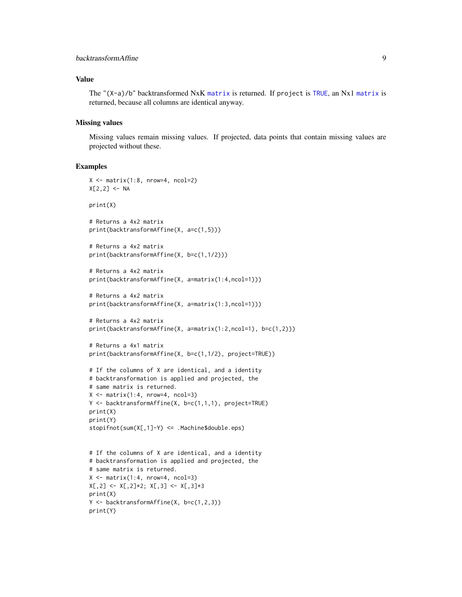## <span id="page-8-0"></span>**backtransformAffine** 9

#### Value

The "(X-a)/b" backtransformed NxK [matrix](#page-0-0) is returned. If project is [TRUE](#page-0-0), an Nx1 [matrix](#page-0-0) is returned, because all columns are identical anyway.

#### Missing values

Missing values remain missing values. If projected, data points that contain missing values are projected without these.

#### Examples

```
X \leftarrow matrix(1:8, nrow=4, ncol=2)X[2,2] <- NA
print(X)
# Returns a 4x2 matrix
print(backtransformAffine(X, a=c(1,5)))
# Returns a 4x2 matrix
print(backtransformAffine(X, b=c(1,1/2)))
# Returns a 4x2 matrix
print(backtransformAffine(X, a=matrix(1:4,ncol=1)))
# Returns a 4x2 matrix
print(backtransformAffine(X, a=matrix(1:3,ncol=1)))
# Returns a 4x2 matrix
print(backtransformAffine(X, a=matrix(1:2,ncol=1), b=c(1,2)))
# Returns a 4x1 matrix
print(backtransformAffine(X, b=c(1,1/2), project=TRUE))
# If the columns of X are identical, and a identity
# backtransformation is applied and projected, the
# same matrix is returned.
X \leq matrix(1:4, nrow=4, ncol=3)
Y \leq backtransformAffine(X, b=c(1,1,1), project=TRUE)
print(X)
print(Y)
stopifnot(sum(X[,1]-Y) <= .Machine$double.eps)
# If the columns of X are identical, and a identity
# backtransformation is applied and projected, the
# same matrix is returned.
X \leftarrow matrix(1:4, nrow=4, ncol=3)X[, 2] \leftarrow X[, 2] \star 2; X[, 3] \leftarrow X[, 3] \star 3print(X)
Y <- backtransformAffine(X, b=c(1,2,3))
print(Y)
```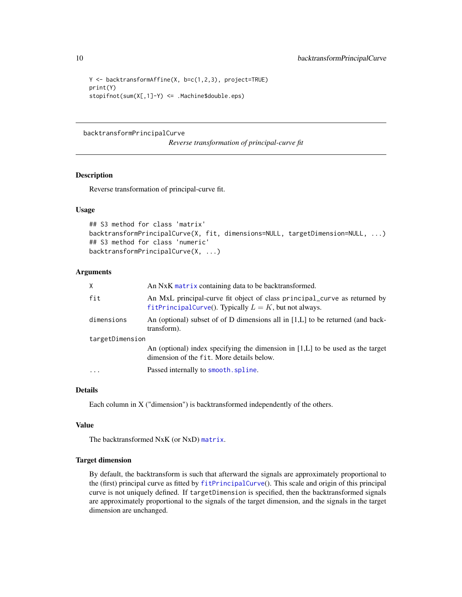```
Y <- backtransformAffine(X, b=c(1,2,3), project=TRUE)
print(Y)
stopifnot(sum(X[,1]-Y) <= .Machine$double.eps)
```
#### <span id="page-9-1"></span>backtransformPrincipalCurve

*Reverse transformation of principal-curve fit*

#### Description

Reverse transformation of principal-curve fit.

## Usage

```
## S3 method for class 'matrix'
backtransformPrincipalCurve(X, fit, dimensions=NULL, targetDimension=NULL, ...)
## S3 method for class 'numeric'
backtransformPrincipalCurve(X, ...)
```
#### Arguments

| $\mathsf{X}$    | An NxK matrix containing data to be backtransformed.                                                                                  |
|-----------------|---------------------------------------------------------------------------------------------------------------------------------------|
| fit             | An MxL principal-curve fit object of class principal_curve as returned by<br>fitPrincipalCurve(). Typically $L = K$ , but not always. |
| dimensions      | An (optional) subset of of D dimensions all in $[1,L]$ to be returned (and back-<br>transform).                                       |
| targetDimension |                                                                                                                                       |
|                 | An (optional) index specifying the dimension in $[1,L]$ to be used as the target<br>dimension of the fit. More details below.         |
| $\cdots$        | Passed internally to smooth. spline.                                                                                                  |

## Details

Each column in X ("dimension") is backtransformed independently of the others.

#### Value

The backtransformed NxK (or NxD) [matrix](#page-0-0).

## Target dimension

By default, the backtransform is such that afterward the signals are approximately proportional to the (first) principal curve as fitted by [fitPrincipalCurve](#page-22-1)(). This scale and origin of this principal curve is not uniquely defined. If targetDimension is specified, then the backtransformed signals are approximately proportional to the signals of the target dimension, and the signals in the target dimension are unchanged.

<span id="page-9-0"></span>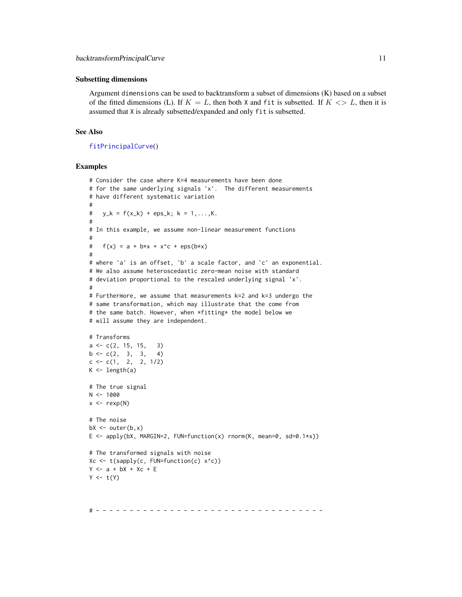#### <span id="page-10-0"></span>Subsetting dimensions

Argument dimensions can be used to backtransform a subset of dimensions (K) based on a subset of the fitted dimensions (L). If  $K = L$ , then both X and fit is subsetted. If  $K \leq L$ , then it is assumed that X is already subsetted/expanded and only fit is subsetted.

## See Also

[fitPrincipalCurve](#page-22-1)()

#### Examples

```
# Consider the case where K=4 measurements have been done
# for the same underlying signals 'x'. The different measurements
# have different systematic variation
#
# y_k = f(x_k) + \text{eps}_k; k = 1, ..., K.
#
# In this example, we assume non-linear measurement functions
#
# f(x) = a + b*x + x^c + eps(b*x)#
# where 'a' is an offset, 'b' a scale factor, and 'c' an exponential.
# We also assume heteroscedastic zero-mean noise with standard
# deviation proportional to the rescaled underlying signal 'x'.
#
# Furthermore, we assume that measurements k=2 and k=3 undergo the
# same transformation, which may illustrate that the come from
# the same batch. However, when *fitting* the model below we
# will assume they are independent.
# Transforms
a \leftarrow c(2, 15, 15, 3)b \leq -c(2, 3, 3, 4)c \leftarrow c(1, 2, 2, 1/2)K \leftarrow length(a)
# The true signal
N < - 1000x \leftarrow \text{rexp}(N)# The noise
bX \leftarrow outer(b, x)E \le apply(bX, MARGIN=2, FUN=function(x) rnorm(K, mean=0, sd=0.1*x))
# The transformed signals with noise
Xc <- t(sapply(c, FUN=function(c) x^c))
Y \leq -a + bX + Xc + EY \leftarrow t(Y)
```
# - - - - - - - - - - - - - - - - - - - - - - - - - - - - - - - - - -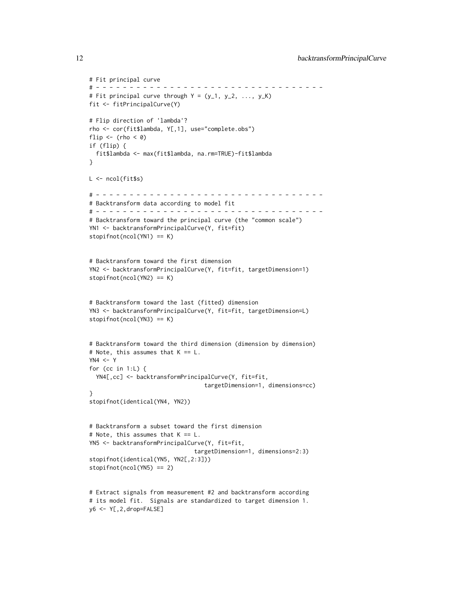```
# Fit principal curve
# - - - - - - - - - - - - - - - - - - - - - - - - - - - - - - - - - -
# Fit principal curve through Y = (y_1, y_2, ..., y_K)fit <- fitPrincipalCurve(Y)
# Flip direction of 'lambda'?
rho <- cor(fit$lambda, Y[,1], use="complete.obs")
flip \leftarrow (rho \leftarrow 0)
if (flip) {
  fit$lambda <- max(fit$lambda, na.rm=TRUE)-fit$lambda
}
L <- ncol(fit$s)
# - - - - - - - - - - - - - - - - - - - - - - - - - - - - - - - - - -
# Backtransform data according to model fit
# - - - - - - - - - - - - - - - - - - - - - - - - - - - - - - - - - -
# Backtransform toward the principal curve (the "common scale")
YN1 <- backtransformPrincipalCurve(Y, fit=fit)
stopifnot(ncol(YN1) == K)
# Backtransform toward the first dimension
YN2 <- backtransformPrincipalCurve(Y, fit=fit, targetDimension=1)
stopifnot(ncol(YN2) == K)
# Backtransform toward the last (fitted) dimension
YN3 <- backtransformPrincipalCurve(Y, fit=fit, targetDimension=L)
stopifnot(ncol(YN3) == K)
# Backtransform toward the third dimension (dimension by dimension)
# Note, this assumes that K == L.
YN4 < - Yfor (cc in 1:L) {
  YN4[,cc] <- backtransformPrincipalCurve(Y, fit=fit,
                                  targetDimension=1, dimensions=cc)
}
stopifnot(identical(YN4, YN2))
# Backtransform a subset toward the first dimension
# Note, this assumes that K == L.
YN5 <- backtransformPrincipalCurve(Y, fit=fit,
                               targetDimension=1, dimensions=2:3)
stopifnot(identical(YN5, YN2[,2:3]))
stopifnot(ncol(YN5) == 2)
# Extract signals from measurement #2 and backtransform according
# its model fit. Signals are standardized to target dimension 1.
y6 <- Y[,2,drop=FALSE]
```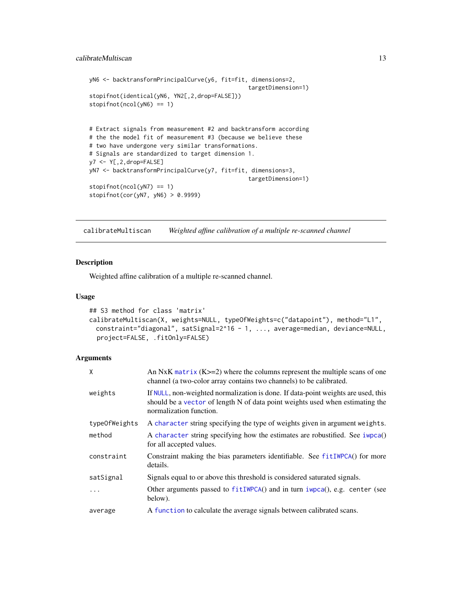## <span id="page-12-0"></span>calibrateMultiscan 13

```
yN6 <- backtransformPrincipalCurve(y6, fit=fit, dimensions=2,
                                               targetDimension=1)
stopifnot(identical(yN6, YN2[,2,drop=FALSE]))
stopifnot(ncol(yN6) == 1)# Extract signals from measurement #2 and backtransform according
# the the model fit of measurement #3 (because we believe these
# two have undergone very similar transformations.
# Signals are standardized to target dimension 1.
y7 <- Y[,2,drop=FALSE]
yN7 <- backtransformPrincipalCurve(y7, fit=fit, dimensions=3,
                                               targetDimension=1)
stopifnot(ncol(yN7) == 1)stopifnot(cor(yN7, yN6) > 0.9999)
```
<span id="page-12-1"></span>calibrateMultiscan *Weighted affine calibration of a multiple re-scanned channel*

#### Description

Weighted affine calibration of a multiple re-scanned channel.

#### Usage

```
## S3 method for class 'matrix'
calibrateMultiscan(X, weights=NULL, typeOfWeights=c("datapoint"), method="L1",
 constraint="diagonal", satSignal=2^16 - 1, ..., average=median, deviance=NULL,
 project=FALSE, .fitOnly=FALSE)
```
#### Arguments

| X             | An NxK matrix $(K>=2)$ where the columns represent the multiple scans of one<br>channel (a two-color array contains two channels) to be calibrated.                                           |
|---------------|-----------------------------------------------------------------------------------------------------------------------------------------------------------------------------------------------|
| weights       | If NULL, non-weighted normalization is done. If data-point weights are used, this<br>should be a vector of length N of data point weights used when estimating the<br>normalization function. |
| typeOfWeights | A character string specifying the type of weights given in argument weights.                                                                                                                  |
| method        | A character string specifying how the estimates are robustified. See iwpca()<br>for all accepted values.                                                                                      |
| constraint    | Constraint making the bias parameters identifiable. See fitIWPCA() for more<br>details.                                                                                                       |
| satSignal     | Signals equal to or above this threshold is considered saturated signals.                                                                                                                     |
| $\cdot$       | Other arguments passed to $fitIWPCA()$ and in turn iwpca $()$ , e.g. center (see<br>below).                                                                                                   |
| average       | A function to calculate the average signals between calibrated scans.                                                                                                                         |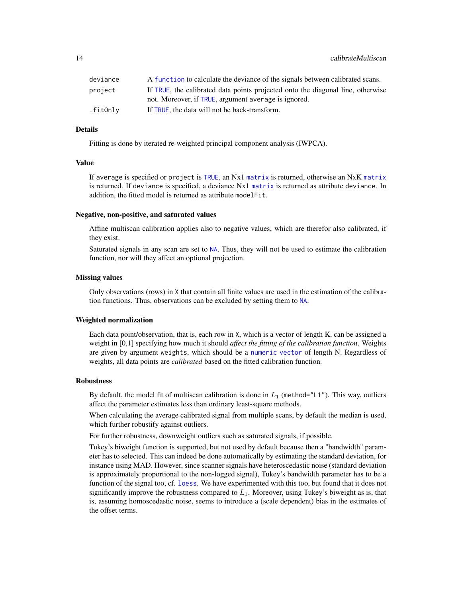<span id="page-13-0"></span>

| deviance | A function to calculate the deviance of the signals between calibrated scans.   |
|----------|---------------------------------------------------------------------------------|
| project  | If TRUE, the calibrated data points projected onto the diagonal line, otherwise |
|          | not. Moreover, if TRUE, argument average is ignored.                            |
| .fitOnly | If TRUE, the data will not be back-transform.                                   |

#### Details

Fitting is done by iterated re-weighted principal component analysis (IWPCA).

#### Value

If average is specified or project is [TRUE](#page-0-0), an Nx1 [matrix](#page-0-0) is returned, otherwise an NxK [matrix](#page-0-0) is returned. If deviance is specified, a deviance Nx1 [matrix](#page-0-0) is returned as attribute deviance. In addition, the fitted model is returned as attribute modelFit.

#### Negative, non-positive, and saturated values

Affine multiscan calibration applies also to negative values, which are therefor also calibrated, if they exist.

Saturated signals in any scan are set to [NA](#page-0-0). Thus, they will not be used to estimate the calibration function, nor will they affect an optional projection.

## Missing values

Only observations (rows) in X that contain all finite values are used in the estimation of the calibration functions. Thus, observations can be excluded by setting them to [NA](#page-0-0).

#### Weighted normalization

Each data point/observation, that is, each row in X, which is a vector of length K, can be assigned a weight in [0,1] specifying how much it should *affect the fitting of the calibration function*. Weights are given by argument weights, which should be a [numeric](#page-0-0) [vector](#page-0-0) of length N. Regardless of weights, all data points are *calibrated* based on the fitted calibration function.

#### Robustness

By default, the model fit of multiscan calibration is done in  $L_1$  (method="L1"). This way, outliers affect the parameter estimates less than ordinary least-square methods.

When calculating the average calibrated signal from multiple scans, by default the median is used, which further robustify against outliers.

For further robustness, downweight outliers such as saturated signals, if possible.

Tukey's biweight function is supported, but not used by default because then a "bandwidth" parameter has to selected. This can indeed be done automatically by estimating the standard deviation, for instance using MAD. However, since scanner signals have heteroscedastic noise (standard deviation is approximately proportional to the non-logged signal), Tukey's bandwidth parameter has to be a function of the signal too, cf. [loess](#page-0-0). We have experimented with this too, but found that it does not significantly improve the robustness compared to  $L_1$ . Moreover, using Tukey's biweight as is, that is, assuming homoscedastic noise, seems to introduce a (scale dependent) bias in the estimates of the offset terms.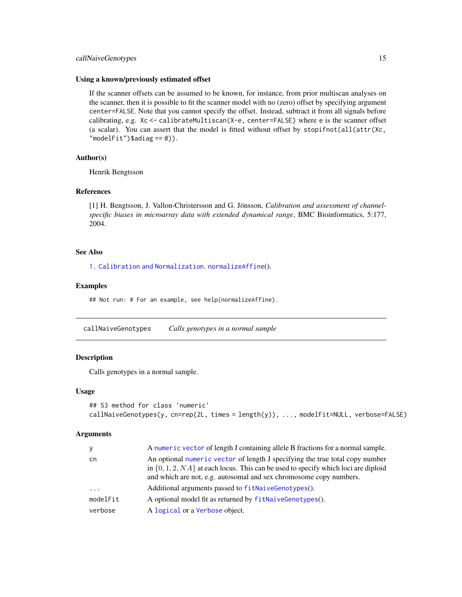## <span id="page-14-0"></span>callNaiveGenotypes 15

#### Using a known/previously estimated offset

If the scanner offsets can be assumed to be known, for instance, from prior multiscan analyses on the scanner, then it is possible to fit the scanner model with no (zero) offset by specifying argument center=FALSE. Note that you cannot specify the offset. Instead, subtract it from all signals before calibrating, e.g. Xc <- calibrateMultiscan(X-e, center=FALSE) where e is the scanner offset (a scalar). You can assert that the model is fitted without offset by stopifnot(all(attr( $Xc$ ,  $"modelFit")$ \$adiag == 0)).

#### Author(s)

Henrik Bengtsson

## References

[1] H. Bengtsson, J. Vallon-Christersson and G. Jönsson, *Calibration and assessment of channelspecific biases in microarray data with extended dynamical range*, BMC Bioinformatics, 5:177, 2004.

#### See Also

[1. Calibration and Normalization](#page-0-0). [normalizeAffine](#page-30-1)().

#### Examples

## Not run: # For an example, see help(normalizeAffine).

<span id="page-14-1"></span>callNaiveGenotypes *Calls genotypes in a normal sample*

#### **Description**

Calls genotypes in a normal sample.

#### Usage

```
## S3 method for class 'numeric'
callNaiveGenotypes(y, cn=rep(2L, times = length(y)), ..., modelFit=NULL, verbose=FALSE)
```
#### Arguments

| y        | A numeric vector of length J containing allele B fractions for a normal sample.                                                                                                                                                              |
|----------|----------------------------------------------------------------------------------------------------------------------------------------------------------------------------------------------------------------------------------------------|
| cn       | An optional numeric vector of length J specifying the true total copy number<br>in $\{0, 1, 2, NA\}$ at each locus. This can be used to specify which loci are diploid<br>and which are not, e.g. autosomal and sex chromosome copy numbers. |
| $\cdots$ | Additional arguments passed to fitNaiveGenotypes().                                                                                                                                                                                          |
| modelFit | A optional model fit as returned by fitNaiveGenotypes().                                                                                                                                                                                     |
| verbose  | A logical or a Verbose object.                                                                                                                                                                                                               |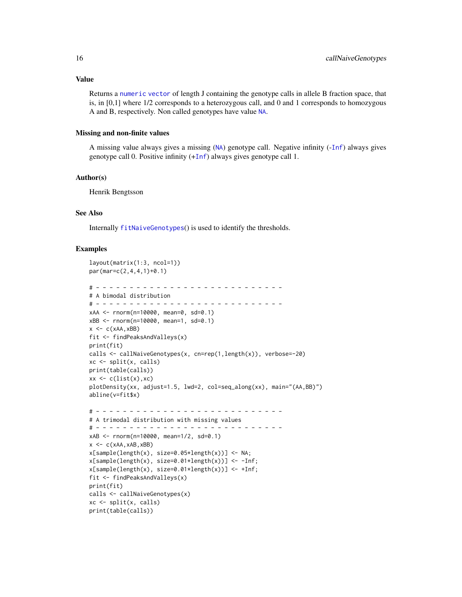Returns a [numeric](#page-0-0) [vector](#page-0-0) of length J containing the genotype calls in allele B fraction space, that is, in [0,1] where 1/2 corresponds to a heterozygous call, and 0 and 1 corresponds to homozygous A and B, respectively. Non called genotypes have value [NA](#page-0-0).

#### Missing and non-finite values

A missing value always gives a missing ([NA](#page-0-0)) genotype call. Negative infinity (-[Inf](#page-0-0)) always gives genotype call 0. Positive infinity  $(+Inf)$  $(+Inf)$  $(+Inf)$  always gives genotype call 1.

#### Author(s)

Henrik Bengtsson

#### See Also

Internally [fitNaiveGenotypes](#page-21-1)() is used to identify the thresholds.

#### Examples

```
layout(matrix(1:3, ncol=1))
par(mar=c(2,4,4,1)+0.1)
# - - - - - - - - - - - - - - - - - - - - - - - - - - - -
# A bimodal distribution
# - - - - - - - - - - - - - - - - - - - - - - - - - - - -
xAA <- rnorm(n=10000, mean=0, sd=0.1)
xBB <- rnorm(n=10000, mean=1, sd=0.1)
x \leftarrow c(xAA, xBB)fit <- findPeaksAndValleys(x)
print(fit)
calls <- callNaiveGenotypes(x, cn=rep(1,length(x)), verbose=-20)
xc <- split(x, calls)
print(table(calls))
xx \leftarrow c(list(x), xc)plotDensity(xx, adjust=1.5, lwd=2, col=seq_along(xx), main="(AA,BB)")
abline(v=fit$x)
# - - - - - - - - - - - - - - - - - - - - - - - - - - - -
# A trimodal distribution with missing values
# - - - - - - - - - - - - - - - - - - - - - - - - - - - -
xAB <- rnorm(n=10000, mean=1/2, sd=0.1)
x \leftarrow c(xAA, xAB, xBB)x[sample(length(x), size=0.05*length(x))] <- NA;
x[sample(length(x), size=0.01*length(x))] <- -Inf;
x[sample(length(x), size=0.01*length(x))] <- +Inf;
fit <- findPeaksAndValleys(x)
print(fit)
calls <- callNaiveGenotypes(x)
xc <- split(x, calls)
print(table(calls))
```
<span id="page-15-0"></span>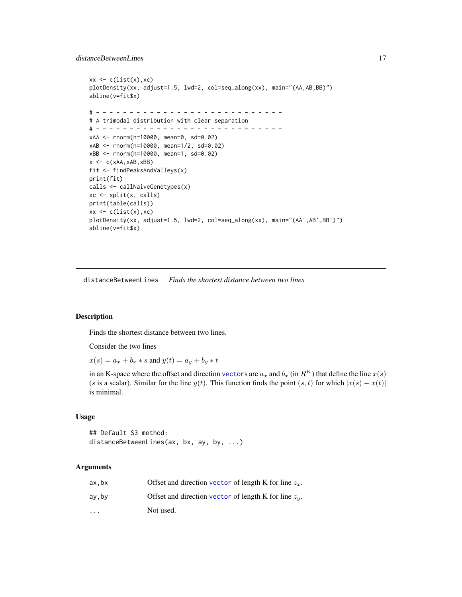#### <span id="page-16-0"></span>distanceBetweenLines 17

```
xx \leftarrow c(list(x), xc)plotDensity(xx, adjust=1.5, lwd=2, col=seq_along(xx), main="(AA,AB,BB)")
abline(v=fit$x)
# - - - - - - - - - - - - - - - - - - - - - - - - - - - -
# A trimodal distribution with clear separation
# - - - - - - - - - - - - - - - - - - - - - - - - - - - -
xAA <- rnorm(n=10000, mean=0, sd=0.02)
xAB <- rnorm(n=10000, mean=1/2, sd=0.02)
xBB <- rnorm(n=10000, mean=1, sd=0.02)
x \leftarrow c(xAA, xAB, xBB)fit <- findPeaksAndValleys(x)
print(fit)
calls <- callNaiveGenotypes(x)
xc <- split(x, calls)
print(table(calls))
xx \leftarrow c(list(x), xc)plotDensity(xx, adjust=1.5, lwd=2, col=seq_along(xx), main="(AA',AB',BB')")
abline(v=fit$x)
```
<span id="page-16-1"></span>distanceBetweenLines *Finds the shortest distance between two lines*

## Description

Finds the shortest distance between two lines.

Consider the two lines

 $x(s) = a_x + b_x * s$  and  $y(t) = a_y + b_y * t$ 

in an K-space where the offset and direction [vector](#page-0-0)s are  $a_x$  and  $b_x$  (in  $R^K$ ) that define the line  $x(s)$ (s is a scalar). Similar for the line  $y(t)$ . This function finds the point  $(s, t)$  for which  $|x(s) - x(t)|$ is minimal.

#### Usage

## Default S3 method: distanceBetweenLines(ax, bx, ay, by, ...)

## Arguments

| ax.bx                   | Offset and direction vector of length K for line $z_x$ . |
|-------------------------|----------------------------------------------------------|
| ay,by                   | Offset and direction vector of length K for line $z_y$ . |
| $\cdot$ $\cdot$ $\cdot$ | Not used.                                                |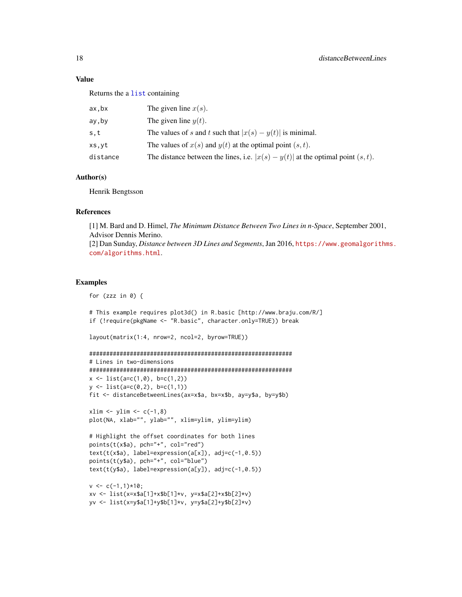## <span id="page-17-0"></span>Value

Returns the a [list](#page-0-0) containing

| ax,bx    | The given line $x(s)$ .                                                              |
|----------|--------------------------------------------------------------------------------------|
| ay,by    | The given line $y(t)$ .                                                              |
| s,t      | The values of s and t such that $ x(s) - y(t) $ is minimal.                          |
| xs,yt    | The values of $x(s)$ and $y(t)$ at the optimal point $(s, t)$ .                      |
| distance | The distance between the lines, i.e. $ x(s) - y(t) $ at the optimal point $(s, t)$ . |
|          |                                                                                      |

#### Author(s)

Henrik Bengtsson

## References

[1] M. Bard and D. Himel, *The Minimum Distance Between Two Lines in n-Space*, September 2001, Advisor Dennis Merino. [2] Dan Sunday, *Distance between 3D Lines and Segments*, Jan 2016, [https://www.geomalgorithm](https://www.geomalgorithms.com/algorithms.html)s. [com/algorithms.html](https://www.geomalgorithms.com/algorithms.html).

#### Examples

for (zzz in  $\emptyset$ ) {

# This example requires plot3d() in R.basic [http://www.braju.com/R/] if (!require(pkgName <- "R.basic", character.only=TRUE)) break

```
layout(matrix(1:4, nrow=2, ncol=2, byrow=TRUE))
```

```
############################################################
# Lines in two-dimensions
############################################################
x \leftarrow \text{list}(a=c(1,0), bc=c(1,2))y \leftarrow \text{list}(a=c(0,2), b=c(1,1))fit <- distanceBetweenLines(ax=x$a, bx=x$b, ay=y$a, by=y$b)
```

```
xlim \leftarrow ylim \leftarrow c(-1,8)plot(NA, xlab="", ylab="", xlim=ylim, ylim=ylim)
```

```
# Highlight the offset coordinates for both lines
points(t(x*)a), pch="a" +", col="red")text(t(x$a), label=expression(a[x]), adj=c(-1,0.5))
points(t(y$a), pch="+", col="blue")
text(t(y$a), label=expression(a[y]), adj=c(-1,0.5))
```

```
v \leq c(-1,1)*10;xv <- list(x=x$a[1]+x$b[1]*v, y=x$a[2]+x$b[2]*v)
yv <- list(x=y$a[1]+y$b[1]*v, y=y$a[2]+y$b[2]*v)
```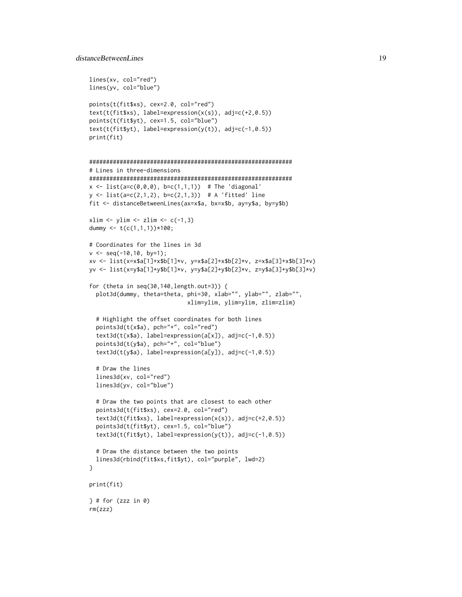```
lines(xv, col="red")
lines(yv, col="blue")
points(t(fit$xs), cex=2.0, col="red")
text(t(fit$xs), label=expression(x(s)), adj=c(+2,0.5))
points(t(fit$yt), cex=1.5, col="blue")
text(t(fit$yt), label=expression(y(t)), adj=c(-1,0.5))
print(fit)
############################################################
# Lines in three-dimensions
############################################################
x \le -\text{list}(a = c(0, 0, 0), b = c(1, 1, 1)) # The 'diagonal'
y \le - list(a=c(2,1,2), b=c(2,1,3)) # A 'fitted' line
fit <- distanceBetweenLines(ax=x$a, bx=x$b, ay=y$a, by=y$b)
xlim \leftarrow ylim \leftarrow zlim \leftarrow c(-1,3)dummy <- t(c(1,1,1))*100;# Coordinates for the lines in 3d
v \le - seg(-10,10, by=1);
xv <- list(x=x$a[1]+x$b[1]*v, y=x$a[2]+x$b[2]*v, z=x$a[3]+x$b[3]*v)
yv <- list(x=y$a[1]+y$b[1]*v, y=y$a[2]+y$b[2]*v, z=y$a[3]+y$b[3]*v)
for (theta in seq(30,140,length.out=3)) {
  plot3d(dummy, theta=theta, phi=30, xlab="", ylab="", zlab="",
                              xlim=ylim, ylim=ylim, zlim=zlim)
  # Highlight the offset coordinates for both lines
  points3d(t(x$a), pch="+", col="red")
  text3d(t(x$a), label=expression(a[x]), adj=c(-1,0.5))
  points3d(t(y$a), pch="+", col="blue")
  text3d(t(y$a), label=expression(a[y]), adj=c(-1,0.5))
  # Draw the lines
  lines3d(xv, col="red")
  lines3d(yv, col="blue")
  # Draw the two points that are closest to each other
  points3d(t(fit$xs), cex=2.0, col="red")
  text3d(t(fit$xs), label=expression(x(s)), adj=c(+2,0.5))
  points3d(t(fit$yt), cex=1.5, col="blue")
  text3d(t(fit$yt), label=expression(y(t)), adj=c(-1,0.5))
  # Draw the distance between the two points
  lines3d(rbind(fit$xs,fit$yt), col="purple", lwd=2)
}
print(fit)
} # for (zzz in 0)
rm(zzz)
```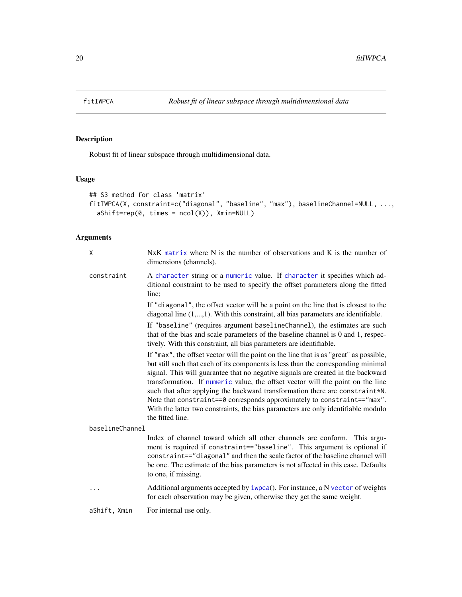<span id="page-19-1"></span><span id="page-19-0"></span>

## Description

Robust fit of linear subspace through multidimensional data.

## Usage

```
## S3 method for class 'matrix'
fitIWPCA(X, constraint=c("diagonal", "baseline", "max"), baselineChannel=NULL, ...,
  aShift=rep(0, times = ncol(X)), Xmin=NULL)
```
## Arguments

| X               | $NxK$ matrix where N is the number of observations and K is the number of<br>dimensions (channels).                                                                                                                                                                                                                                                                                                                                                                                                                                                                                                                   |
|-----------------|-----------------------------------------------------------------------------------------------------------------------------------------------------------------------------------------------------------------------------------------------------------------------------------------------------------------------------------------------------------------------------------------------------------------------------------------------------------------------------------------------------------------------------------------------------------------------------------------------------------------------|
| constraint      | A character string or a numeric value. If character it specifies which ad-<br>ditional constraint to be used to specify the offset parameters along the fitted<br>line:                                                                                                                                                                                                                                                                                                                                                                                                                                               |
|                 | If "diagonal", the offset vector will be a point on the line that is closest to the<br>diagonal line $(1, \ldots, 1)$ . With this constraint, all bias parameters are identifiable.                                                                                                                                                                                                                                                                                                                                                                                                                                   |
|                 | If "baseline" (requires argument baselineChannel), the estimates are such<br>that of the bias and scale parameters of the baseline channel is 0 and 1, respec-<br>tively. With this constraint, all bias parameters are identifiable.                                                                                                                                                                                                                                                                                                                                                                                 |
|                 | If "max", the offset vector will the point on the line that is as "great" as possible,<br>but still such that each of its components is less than the corresponding minimal<br>signal. This will guarantee that no negative signals are created in the backward<br>transformation. If numeric value, the offset vector will the point on the line<br>such that after applying the backward transformation there are constraint*N.<br>Note that constraint==0 corresponds approximately to constraint=="max".<br>With the latter two constraints, the bias parameters are only identifiable modulo<br>the fitted line. |
| baselineChannel |                                                                                                                                                                                                                                                                                                                                                                                                                                                                                                                                                                                                                       |
|                 | Index of channel toward which all other channels are conform. This argu-<br>ment is required if constraint=="baseline". This argument is optional if<br>constraint=="diagonal" and then the scale factor of the baseline channel will<br>be one. The estimate of the bias parameters is not affected in this case. Defaults<br>to one, if missing.                                                                                                                                                                                                                                                                    |
| .               | Additional arguments accepted by iwpca(). For instance, a N vector of weights<br>for each observation may be given, otherwise they get the same weight.                                                                                                                                                                                                                                                                                                                                                                                                                                                               |
| aShift, Xmin    | For internal use only.                                                                                                                                                                                                                                                                                                                                                                                                                                                                                                                                                                                                |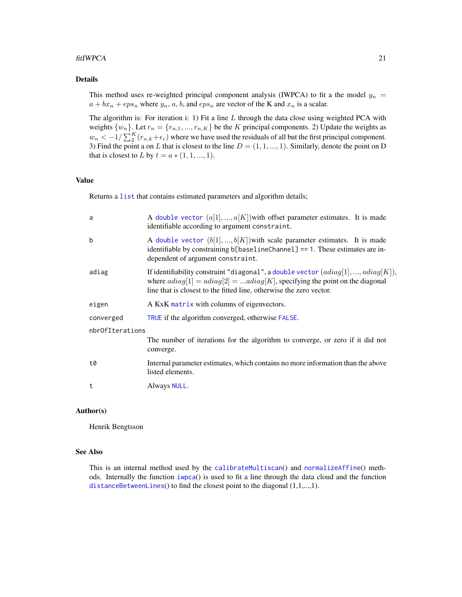#### <span id="page-20-0"></span>fitIWPCA 21

## Details

This method uses re-weighted principal component analysis (IWPCA) to fit a the model  $y_n =$  $a + bx_n + eps_n$  where  $y_n$ , a, b, and  $eps_n$  are vector of the K and  $x_n$  is a scalar.

The algorithm is: For iteration i: 1) Fit a line  $L$  through the data close using weighted PCA with weights  $\{w_n\}$ . Let  $r_n = \{r_{n,1}, ..., r_{n,K}\}$  be the K principal components. 2) Update the weights as  $w_n < -1/\sum_{i=1}^{K} (r_{n,k} + \epsilon_r)$  where we have used the residuals of all but the first principal component. 3) Find the point a on L that is closest to the line  $D = (1, 1, ..., 1)$ . Similarly, denote the point on D that is closest to L by  $t = a * (1, 1, ..., 1)$ .

## Value

Returns a [list](#page-0-0) that contains estimated parameters and algorithm details;

| a               | A double vector $(a[1],,a[K])$ with offset parameter estimates. It is made<br>identifiable according to argument constraint.                                                                                                                |  |
|-----------------|---------------------------------------------------------------------------------------------------------------------------------------------------------------------------------------------------------------------------------------------|--|
| b               | A double vector $(b[1],,b[K])$ with scale parameter estimates. It is made<br>identifiable by constraining b[baselineChannel] == 1. These estimates are in-<br>dependent of argument constraint.                                             |  |
| adiag           | If identifiability constraint "diagonal", a double vector $(adiag[1], , adiag[K]),$<br>where $adiag[1] = adiag[2] = adiag[K]$ , specifying the point on the diagonal<br>line that is closest to the fitted line, otherwise the zero vector. |  |
| eigen           | A KxK matrix with columns of eigenvectors.                                                                                                                                                                                                  |  |
| converged       | TRUE if the algorithm converged, otherwise FALSE.                                                                                                                                                                                           |  |
| nbrOfIterations |                                                                                                                                                                                                                                             |  |
|                 | The number of iterations for the algorithm to converge, or zero if it did not<br>converge.                                                                                                                                                  |  |
| t0              | Internal parameter estimates, which contains no more information than the above<br>listed elements.                                                                                                                                         |  |
| t               | Always NULL.                                                                                                                                                                                                                                |  |

## Author(s)

Henrik Bengtsson

## See Also

This is an internal method used by the [calibrateMultiscan](#page-12-1)() and [normalizeAffine](#page-30-1)() methods. Internally the function [iwpca](#page-26-1)() is used to fit a line through the data cloud and the function [distanceBetweenLines](#page-16-1)() to find the closest point to the diagonal (1,1,...,1).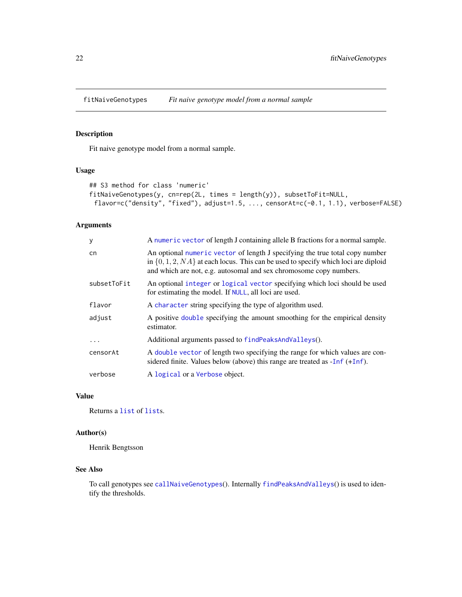<span id="page-21-1"></span><span id="page-21-0"></span>fitNaiveGenotypes *Fit naive genotype model from a normal sample*

## Description

Fit naive genotype model from a normal sample.

## Usage

```
## S3 method for class 'numeric'
fitNaiveGenotypes(y, cn=rep(2L, times = length(y)), subsetToFit=NULL,
 flavor=c("density", "fixed"), adjust=1.5, ..., censorAt=c(-0.1, 1.1), verbose=FALSE)
```
## Arguments

| У           | A numeric vector of length J containing allele B fractions for a normal sample.                                                                                                                                                              |
|-------------|----------------------------------------------------------------------------------------------------------------------------------------------------------------------------------------------------------------------------------------------|
| cn          | An optional numeric vector of length J specifying the true total copy number<br>in $\{0, 1, 2, NA\}$ at each locus. This can be used to specify which loci are diploid<br>and which are not, e.g. autosomal and sex chromosome copy numbers. |
| subsetToFit | An optional integer or logical vector specifying which loci should be used<br>for estimating the model. If NULL, all loci are used.                                                                                                          |
| flavor      | A character string specifying the type of algorithm used.                                                                                                                                                                                    |
| adjust      | A positive double specifying the amount smoothing for the empirical density<br>estimator.                                                                                                                                                    |
| $\ddotsc$   | Additional arguments passed to findPeaksAndValleys().                                                                                                                                                                                        |
| censorAt    | A double vector of length two specifying the range for which values are con-<br>sidered finite. Values below (above) this range are treated as $-Inf (+Inf)$ .                                                                               |
| verbose     | A logical or a Verbose object.                                                                                                                                                                                                               |

#### Value

Returns a [list](#page-0-0) of [list](#page-0-0)s.

## Author(s)

Henrik Bengtsson

## See Also

To call genotypes see [callNaiveGenotypes](#page-14-1)(). Internally [findPeaksAndValleys](#page-0-0)() is used to identify the thresholds.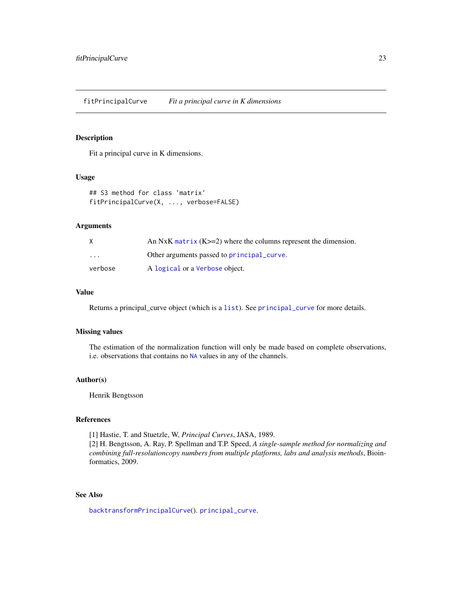<span id="page-22-1"></span><span id="page-22-0"></span>fitPrincipalCurve *Fit a principal curve in K dimensions*

## Description

Fit a principal curve in K dimensions.

## Usage

```
## S3 method for class 'matrix'
fitPrincipalCurve(X, ..., verbose=FALSE)
```
#### Arguments

|                         | An NxK matrix $(K>=2)$ where the columns represent the dimension. |
|-------------------------|-------------------------------------------------------------------|
| $\cdot$ $\cdot$ $\cdot$ | Other arguments passed to principal curve.                        |
| verbose                 | A logical or a Verbose object.                                    |

## Value

Returns a principal\_curve object (which is a [list](#page-0-0)). See [principal\\_curve](#page-0-0) for more details.

## Missing values

The estimation of the normalization function will only be made based on complete observations, i.e. observations that contains no [NA](#page-0-0) values in any of the channels.

## Author(s)

Henrik Bengtsson

## References

[1] Hastie, T. and Stuetzle, W, *Principal Curves*, JASA, 1989. [2] H. Bengtsson, A. Ray, P. Spellman and T.P. Speed, *A single-sample method for normalizing and combining full-resolutioncopy numbers from multiple platforms, labs and analysis methods*, Bioinformatics, 2009.

## See Also

[backtransformPrincipalCurve](#page-9-1)(). [principal\\_curve](#page-0-0).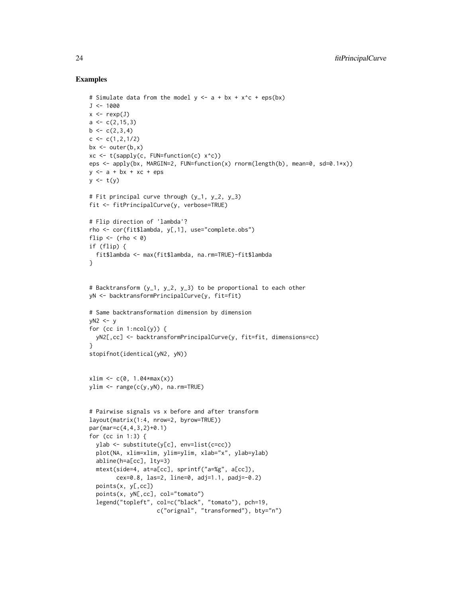#### Examples

```
# Simulate data from the model y \leq -a + bx + x \leq -e eps(bx)
J < -1000x \leftarrow \text{rexp}(J)a \leftarrow c(2, 15, 3)b \leftarrow c(2,3,4)c \leq -c(1, 2, 1/2)bx \leftarrow outer(b, x)xc <- t(sapply(c, FUN=function(c) x^c))
eps <- apply(bx, MARGIN=2, FUN=function(x) rnorm(length(b), mean=0, sd=0.1*x))
y \leq -a + bx + xc + epsy \leftarrow t(y)# Fit principal curve through (y_1, y_2, y_3)
fit <- fitPrincipalCurve(y, verbose=TRUE)
# Flip direction of 'lambda'?
rho <- cor(fit$lambda, y[,1], use="complete.obs")
flip \leftarrow (rho \leftarrow 0)
if (flip) {
  fit$lambda <- max(fit$lambda, na.rm=TRUE)-fit$lambda
}
# Backtransform (y_1, y_2, y_3) to be proportional to each other
yN <- backtransformPrincipalCurve(y, fit=fit)
# Same backtransformation dimension by dimension
yN2 \leq -yfor (cc in 1:ncol(y)) {
  yN2[,cc] <- backtransformPrincipalCurve(y, fit=fit, dimensions=cc)
}
stopifnot(identical(yN2, yN))
xlim \leftarrow c(0, 1.04*max(x))ylim <- range(c(y,yN), na.rm=TRUE)
# Pairwise signals vs x before and after transform
layout(matrix(1:4, nrow=2, byrow=TRUE))
par(mar=c(4,4,3,2)+0.1)
for (cc in 1:3) {
  ylab <- substitute(y[c], env=list(c=cc))
  plot(NA, xlim=xlim, ylim=ylim, xlab="x", ylab=ylab)
  abline(h=a[cc], lty=3)
  mtext(side=4, at=a[cc], sprintf("a=%g", a[cc]),
        cex=0.8, las=2, line=0, adj=1.1, padj=-0.2)
  points(x, y[,cc])
  points(x, yN[,cc], col="tomato")
  legend("topleft", col=c("black", "tomato"), pch=19,
                     c("orignal", "transformed"), bty="n")
```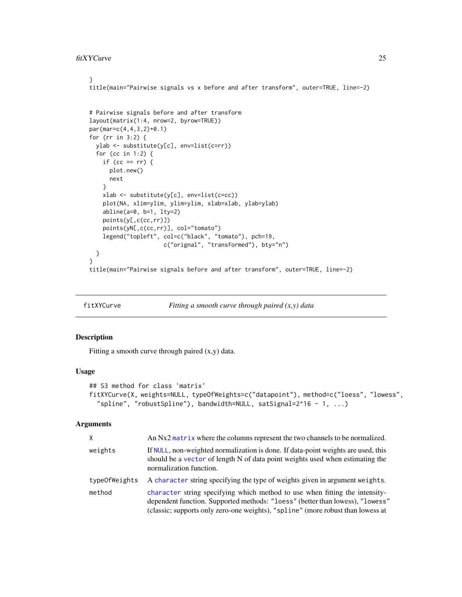#### <span id="page-24-0"></span>fitXYCurve 25

#### }

title(main="Pairwise signals vs x before and after transform", outer=TRUE, line=-2)

```
# Pairwise signals before and after transform
layout(matrix(1:4, nrow=2, byrow=TRUE))
par(mar=c(4,4,3,2)+0.1)
for (rr in 3:2) {
 ylab <- substitute(y[c], env=list(c=rr))
 for (cc in 1:2) {
    if (cc == rr) {
     plot.new()
     next
    }
   xlab <- substitute(y[c], env=list(c=cc))
   plot(NA, xlim=ylim, ylim=ylim, xlab=xlab, ylab=ylab)
   abline(a=0, b=1, lty=2)
   points(y[,c(cc,rr)])
   points(yN[,c(cc,rr)], col="tomato")
   legend("topleft", col=c("black", "tomato"), pch=19,
                      c("orignal", "transformed"), bty="n")
 }
}
title(main="Pairwise signals before and after transform", outer=TRUE, line=-2)
```
fitXYCurve *Fitting a smooth curve through paired (x,y) data*

#### Description

Fitting a smooth curve through paired (x,y) data.

#### Usage

```
## S3 method for class 'matrix'
fitXYCurve(X, weights=NULL, typeOfWeights=c("datapoint"), method=c("loess", "lowess",
  "spline", "robustSpline"), bandwidth=NULL, satSignal=2^16 - 1, ...)
```
#### Arguments

| X             | An Nx2 matrix where the columns represent the two channels to be normalized.                                                                                                                                                                    |
|---------------|-------------------------------------------------------------------------------------------------------------------------------------------------------------------------------------------------------------------------------------------------|
| weights       | If NULL, non-weighted normalization is done. If data-point weights are used, this<br>should be a vector of length N of data point weights used when estimating the<br>normalization function.                                                   |
| typeOfWeights | A character string specifying the type of weights given in argument weights.                                                                                                                                                                    |
| method        | character string specifying which method to use when fitting the intensity-<br>dependent function. Supported methods: "loess" (better than lowess), "lowess"<br>(classic; supports only zero-one weights), "spline" (more robust than lowess at |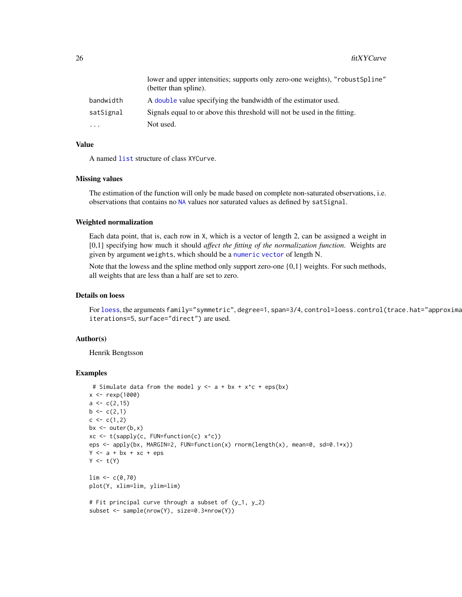<span id="page-25-0"></span>

|           | lower and upper intensities; supports only zero-one weights), "robust Spline"<br>(better than spline). |
|-----------|--------------------------------------------------------------------------------------------------------|
| bandwidth | A double value specifying the bandwidth of the estimator used.                                         |
| satSignal | Signals equal to or above this threshold will not be used in the fitting.                              |
| $\cdot$   | Not used.                                                                                              |

## Value

A named [list](#page-0-0) structure of class XYCurve.

#### Missing values

The estimation of the function will only be made based on complete non-saturated observations, i.e. observations that contains no [NA](#page-0-0) values nor saturated values as defined by satSignal.

#### Weighted normalization

Each data point, that is, each row in X, which is a vector of length 2, can be assigned a weight in [0,1] specifying how much it should *affect the fitting of the normalization function*. Weights are given by argument weights, which should be a [numeric](#page-0-0) [vector](#page-0-0) of length N.

Note that the lowess and the spline method only support zero-one  $\{0,1\}$  weights. For such methods, all weights that are less than a half are set to zero.

## Details on loess

For [loess](#page-0-0), the arguments family="symmetric", degree=1, span=3/4, control=loess.control(trace.hat="approximate") iterations=5, surface="direct") are used.

## Author(s)

Henrik Bengtsson

## Examples

```
# Simulate data from the model y \leq -a + bx + x \leq -e eps(bx)
x < - rexp(1000)
a \leftarrow c(2, 15)b \leq -c(2,1)c \leq -c(1,2)bx \leq outer(b,x)
xc <- t(sapply(c, FUN=function(c) x^c))
eps <- apply(bx, MARGIN=2, FUN=function(x) rnorm(length(x), mean=0, sd=0.1*x))
Y \le -a + bx + xc + epsY \leftarrow t(Y)\lim <- c(0,70)
plot(Y, xlim=lim, ylim=lim)
# Fit principal curve through a subset of (y_1, y_2)
subset <- sample(nrow(Y), size=0.3*nrow(Y))
```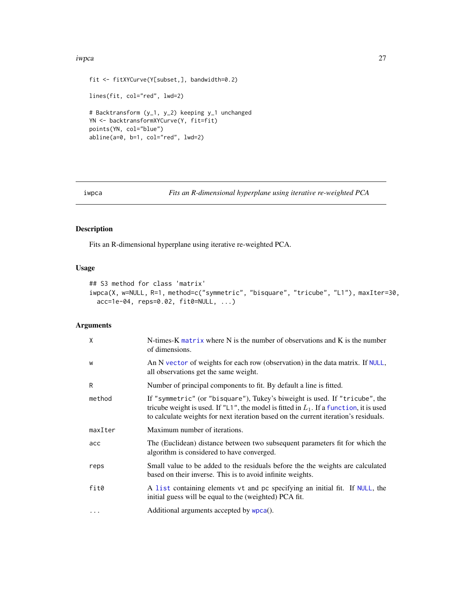#### <span id="page-26-0"></span>iwpca 27

```
fit <- fitXYCurve(Y[subset,], bandwidth=0.2)
lines(fit, col="red", lwd=2)
# Backtransform (y_1, y_2) keeping y_1 unchanged
YN <- backtransformXYCurve(Y, fit=fit)
points(YN, col="blue")
abline(a=0, b=1, col="red", lwd=2)
```
<span id="page-26-1"></span>

```
iwpca Fits an R-dimensional hyperplane using iterative re-weighted PCA
```
## Description

Fits an R-dimensional hyperplane using iterative re-weighted PCA.

#### Usage

```
## S3 method for class 'matrix'
iwpca(X, w=NULL, R=1, method=c("symmetric", "bisquare", "tricube", "L1"), maxIter=30,
 acc=1e-04, reps=0.02, fit0=NULL, ...)
```
## Arguments

| $\mathsf{X}$ | N-times- $K$ matrix where $N$ is the number of observations and $K$ is the number<br>of dimensions.                                                                                                                                                             |
|--------------|-----------------------------------------------------------------------------------------------------------------------------------------------------------------------------------------------------------------------------------------------------------------|
| W            | An N vector of weights for each row (observation) in the data matrix. If NULL,<br>all observations get the same weight.                                                                                                                                         |
| R            | Number of principal components to fit. By default a line is fitted.                                                                                                                                                                                             |
| method       | If "symmetric" (or "bisquare"), Tukey's biweight is used. If "tricube", the<br>tricube weight is used. If "L1", the model is fitted in $L_1$ . If a function, it is used<br>to calculate weights for next iteration based on the current iteration's residuals. |
| maxIter      | Maximum number of iterations.                                                                                                                                                                                                                                   |
| acc          | The (Euclidean) distance between two subsequent parameters fit for which the<br>algorithm is considered to have converged.                                                                                                                                      |
| reps         | Small value to be added to the residuals before the the weights are calculated<br>based on their inverse. This is to avoid infinite weights.                                                                                                                    |
| fit0         | A list containing elements vt and pc specifying an initial fit. If NULL, the<br>initial guess will be equal to the (weighted) PCA fit.                                                                                                                          |
| $\cdots$     | Additional arguments accepted by wpca().                                                                                                                                                                                                                        |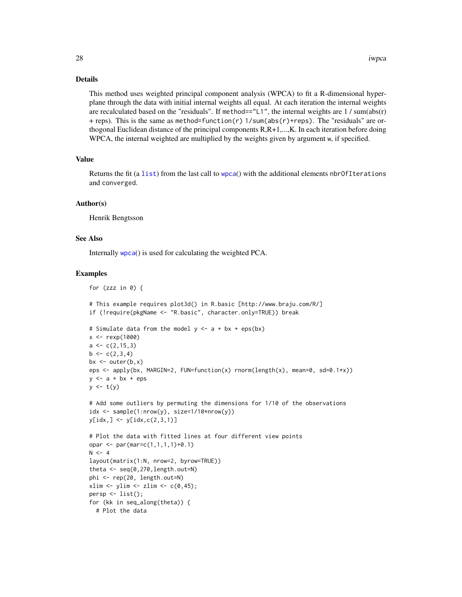#### Details

This method uses weighted principal component analysis (WPCA) to fit a R-dimensional hyperplane through the data with initial internal weights all equal. At each iteration the internal weights are recalculated based on the "residuals". If method=="L1", the internal weights are 1 / sum(abs(r) + reps). This is the same as method=function(r) 1/sum(abs(r)+reps). The "residuals" are orthogonal Euclidean distance of the principal components R,R+1,...,K. In each iteration before doing WPCA, the internal weighted are multiplied by the weights given by argument w, if specified.

#### Value

Returns the fit (a [list](#page-0-0)) from the last call to [wpca](#page-63-1)() with the additional elements nbr0fIterations and converged.

#### Author(s)

Henrik Bengtsson

for (zzz in  $\theta$ ) {

#### See Also

Internally [wpca](#page-63-1)() is used for calculating the weighted PCA.

#### Examples

```
# This example requires plot3d() in R.basic [http://www.braju.com/R/]
if (!require(pkgName <- "R.basic", character.only=TRUE)) break
# Simulate data from the model y \leq a + bx + eps(bx)x <- rexp(1000)
a \leftarrow c(2, 15, 3)b \leq -c(2,3,4)bx \leftarrow outer(b, x)eps <- apply(bx, MARGIN=2, FUN=function(x) rnorm(length(x), mean=0, sd=0.1*x))
y \leq -a + bx + epsy \leftarrow t(y)# Add some outliers by permuting the dimensions for 1/10 of the observations
idx \leq sample(1:nrow(y), size=1/10*nrow(y))
y[idx, ] \leftarrow y[idx, c(2, 3, 1)]# Plot the data with fitted lines at four different view points
opar <- par(mar=c(1,1,1,1)+0.1)
N < -4layout(matrix(1:N, nrow=2, byrow=TRUE))
theta \leq seq(0,270, length.out=N)
phi <- rep(20, length.out=N)
xlim \le ylim \le zlim \le c(0,45);
persp \leftarrow list();
for (kk in seq_along(theta)) {
  # Plot the data
```
<span id="page-27-0"></span>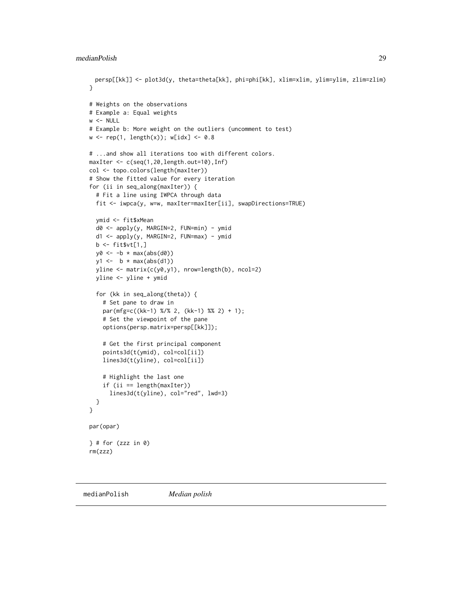```
persp[[kk]] <- plot3d(y, theta=theta[kk], phi=phi[kk], xlim=xlim, ylim=ylim, zlim=zlim)
}
# Weights on the observations
# Example a: Equal weights
w < - NULL
# Example b: More weight on the outliers (uncomment to test)
w \leq rep(1, length(x)); w[idx] \leq 0.8# ...and show all iterations too with different colors.
maxIter <- c(seq(1,20,length.out=10),Inf)
col <- topo.colors(length(maxIter))
# Show the fitted value for every iteration
for (ii in seq_along(maxIter)) {
  # Fit a line using IWPCA through data
  fit <- iwpca(y, w=w, maxIter=maxIter[ii], swapDirections=TRUE)
  ymid <- fit$xMean
  d0 <- apply(y, MARGIN=2, FUN=min) - ymid
  d1 <- apply(y, MARGIN=2, FUN=max) - ymid
  b \leftarrow \text{fit} \text{wt}[1,]y0 \leftarrow -b * max(abs(d0))y1 \leftarrow b * max(abs(d1))yline <- matrix(c(y0,y1), nrow=length(b), ncol=2)
  yline <- yline + ymid
  for (kk in seq_along(theta)) {
    # Set pane to draw in
    par(mfg=c((kk-1) %/% 2, (kk-1) %% 2) + 1);
    # Set the viewpoint of the pane
    options(persp.matrix=persp[[kk]]);
    # Get the first principal component
    points3d(t(ymid), col=col[ii])
    lines3d(t(yline), col=col[ii])
    # Highlight the last one
    if (ii == length(maxIter))
      lines3d(t(yline), col="red", lwd=3)
  }
}
par(opar)
\} # for (zzz in 0)
rm(zzz)
```
medianPolish *Median polish*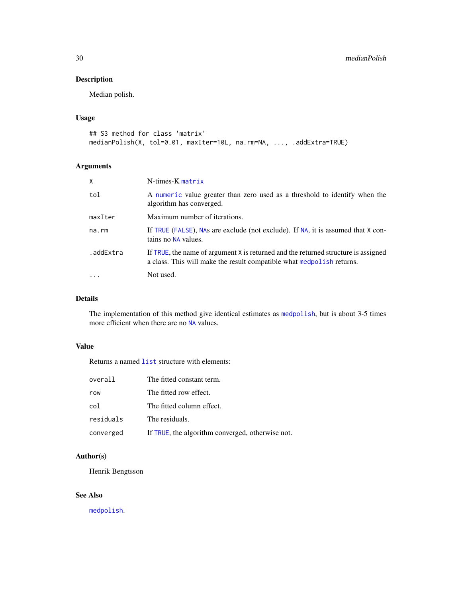## <span id="page-29-0"></span>Description

Median polish.

#### Usage

```
## S3 method for class 'matrix'
medianPolish(X, tol=0.01, maxIter=10L, na.rm=NA, ..., .addExtra=TRUE)
```
## Arguments

| X         | N-times-K matrix                                                                                                                                            |
|-----------|-------------------------------------------------------------------------------------------------------------------------------------------------------------|
| tol       | A numeric value greater than zero used as a threshold to identify when the<br>algorithm has converged.                                                      |
| maxIter   | Maximum number of iterations.                                                                                                                               |
| na.rm     | If TRUE (FALSE), NAs are exclude (not exclude). If NA, it is assumed that X con-<br>tains no NA values.                                                     |
| .addExtra | If TRUE, the name of argument X is returned and the returned structure is assigned<br>a class. This will make the result compatible what medpolish returns. |
|           | Not used.                                                                                                                                                   |

## Details

The implementation of this method give identical estimates as [medpolish](#page-0-0), but is about 3-5 times more efficient when there are no [NA](#page-0-0) values.

## Value

Returns a named [list](#page-0-0) structure with elements:

| overall   | The fitted constant term.                        |
|-----------|--------------------------------------------------|
| row       | The fitted row effect.                           |
| col       | The fitted column effect.                        |
| residuals | The residuals.                                   |
| converged | If TRUE, the algorithm converged, otherwise not. |

## Author(s)

Henrik Bengtsson

## See Also

[medpolish](#page-0-0).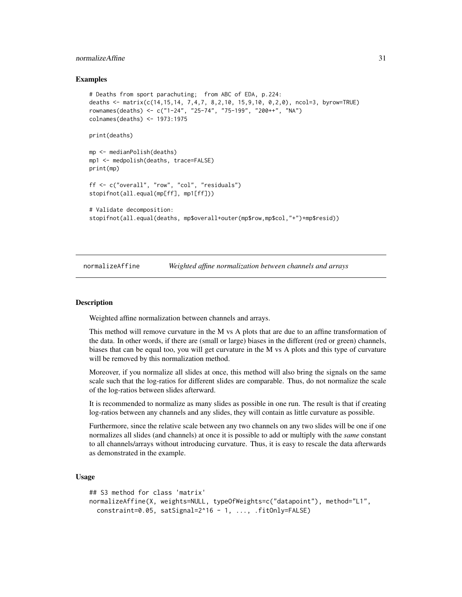#### <span id="page-30-0"></span>normalizeAffine 31

#### Examples

```
# Deaths from sport parachuting; from ABC of EDA, p.224:
deaths <- matrix(c(14,15,14, 7,4,7, 8,2,10, 15,9,10, 0,2,0), ncol=3, byrow=TRUE)
rownames(deaths) <- c("1-24", "25-74", "75-199", "200++", "NA")
colnames(deaths) <- 1973:1975
print(deaths)
mp <- medianPolish(deaths)
mp1 <- medpolish(deaths, trace=FALSE)
print(mp)
ff <- c("overall", "row", "col", "residuals")
stopifnot(all.equal(mp[ff], mp1[ff]))
# Validate decomposition:
stopifnot(all.equal(deaths, mp$overall+outer(mp$row,mp$col,"+")+mp$resid))
```
<span id="page-30-1"></span>normalizeAffine *Weighted affine normalization between channels and arrays*

## **Description**

Weighted affine normalization between channels and arrays.

This method will remove curvature in the M vs A plots that are due to an affine transformation of the data. In other words, if there are (small or large) biases in the different (red or green) channels, biases that can be equal too, you will get curvature in the M vs A plots and this type of curvature will be removed by this normalization method.

Moreover, if you normalize all slides at once, this method will also bring the signals on the same scale such that the log-ratios for different slides are comparable. Thus, do not normalize the scale of the log-ratios between slides afterward.

It is recommended to normalize as many slides as possible in one run. The result is that if creating log-ratios between any channels and any slides, they will contain as little curvature as possible.

Furthermore, since the relative scale between any two channels on any two slides will be one if one normalizes all slides (and channels) at once it is possible to add or multiply with the *same* constant to all channels/arrays without introducing curvature. Thus, it is easy to rescale the data afterwards as demonstrated in the example.

## Usage

```
## S3 method for class 'matrix'
normalizeAffine(X, weights=NULL, typeOfWeights=c("datapoint"), method="L1",
 constraint=0.05, satSignal=2^16 - 1, ..., .fitOnly=FALSE)
```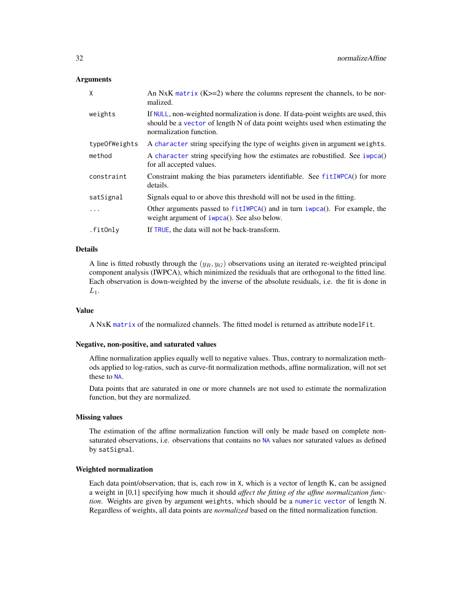## <span id="page-31-0"></span>Arguments

| $\mathsf{x}$  | An NxK matrix $(K>=2)$ where the columns represent the channels, to be nor-<br>malized.                                                                                                       |
|---------------|-----------------------------------------------------------------------------------------------------------------------------------------------------------------------------------------------|
| weights       | If NULL, non-weighted normalization is done. If data-point weights are used, this<br>should be a vector of length N of data point weights used when estimating the<br>normalization function. |
| typeOfWeights | A character string specifying the type of weights given in argument weights.                                                                                                                  |
| method        | A character string specifying how the estimates are robustified. See iwpca()<br>for all accepted values.                                                                                      |
| constraint    | Constraint making the bias parameters identifiable. See fit IWPCA() for more<br>details.                                                                                                      |
| satSignal     | Signals equal to or above this threshold will not be used in the fitting.                                                                                                                     |
| $\cdot$       | Other arguments passed to $fitIWPCA()$ and in turn impca $()$ . For example, the<br>weight argument of iwpca(). See also below.                                                               |
| .fitOnly      | If TRUE, the data will not be back-transform.                                                                                                                                                 |

## Details

A line is fitted robustly through the  $(y_R, y_G)$  observations using an iterated re-weighted principal component analysis (IWPCA), which minimized the residuals that are orthogonal to the fitted line. Each observation is down-weighted by the inverse of the absolute residuals, i.e. the fit is done in  $L_1$ .

#### Value

A NxK [matrix](#page-0-0) of the normalized channels. The fitted model is returned as attribute modelFit.

#### Negative, non-positive, and saturated values

Affine normalization applies equally well to negative values. Thus, contrary to normalization methods applied to log-ratios, such as curve-fit normalization methods, affine normalization, will not set these to [NA](#page-0-0).

Data points that are saturated in one or more channels are not used to estimate the normalization function, but they are normalized.

#### Missing values

The estimation of the affine normalization function will only be made based on complete nonsaturated observations, i.e. observations that contains no [NA](#page-0-0) values nor saturated values as defined by satSignal.

#### Weighted normalization

Each data point/observation, that is, each row in X, which is a vector of length K, can be assigned a weight in [0,1] specifying how much it should *affect the fitting of the affine normalization function*. Weights are given by argument weights, which should be a [numeric](#page-0-0) [vector](#page-0-0) of length N. Regardless of weights, all data points are *normalized* based on the fitted normalization function.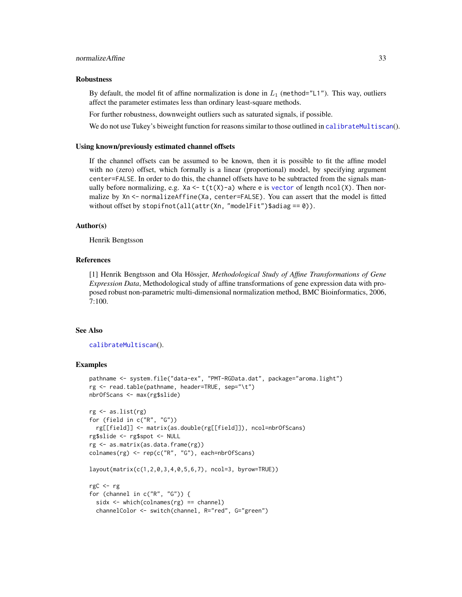#### <span id="page-32-0"></span>Robustness

By default, the model fit of affine normalization is done in  $L_1$  (method="L1"). This way, outliers affect the parameter estimates less than ordinary least-square methods.

For further robustness, downweight outliers such as saturated signals, if possible.

We do not use Tukey's biweight function for reasons similar to those outlined in [calibrateMultiscan](#page-12-1)().

#### Using known/previously estimated channel offsets

If the channel offsets can be assumed to be known, then it is possible to fit the affine model with no (zero) offset, which formally is a linear (proportional) model, by specifying argument center=FALSE. In order to do this, the channel offsets have to be subtracted from the signals manually before normalizing, e.g. Xa  $\leq t(t(X)-a)$  where e is [vector](#page-0-0) of length ncol(X). Then normalize by Xn <- normalizeAffine(Xa, center=FALSE). You can assert that the model is fitted without offset by stopifnot(all(attr(Xn, "modelFit")\$adiag ==  $0$ )).

#### Author(s)

Henrik Bengtsson

#### References

[1] Henrik Bengtsson and Ola Hössjer, *Methodological Study of Affine Transformations of Gene Expression Data*, Methodological study of affine transformations of gene expression data with proposed robust non-parametric multi-dimensional normalization method, BMC Bioinformatics, 2006, 7:100.

#### See Also

[calibrateMultiscan](#page-12-1)().

#### Examples

```
pathname <- system.file("data-ex", "PMT-RGData.dat", package="aroma.light")
rg <- read.table(pathname, header=TRUE, sep="\t")
nbrOfScans <- max(rg$slide)
rg <- as.list(rg)
for (field in c("R", "G"))
 rg[[field]] <- matrix(as.double(rg[[field]]), ncol=nbrOfScans)
rg$slide <- rg$spot <- NULL
rg <- as.matrix(as.data.frame(rg))
colnames(rg) <- rep(c("R", "G"), each=nbrOfScans)
layout(matrix(c(1,2,0,3,4,0,5,6,7), ncol=3, byrow=TRUE))
rgC <- rg
for (channel in c("R", "G")) {
 sidx <- which(colnames(rg) == channel)
```
channelColor <- switch(channel, R="red", G="green")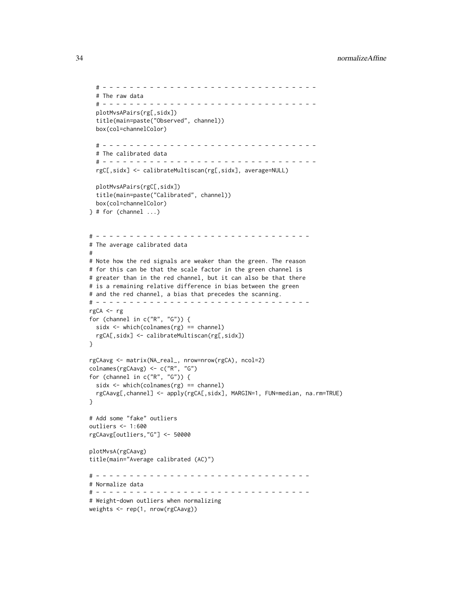```
# - - - - - - - - - - - - - - - - - - - - - - - - - - - - - - - -
  # The raw data
  # - - - - - - - - - - - - - - - - - - - - - - - - - - - - - - - -
  plotMvsAPairs(rg[,sidx])
  title(main=paste("Observed", channel))
  box(col=channelColor)
  # - - - - - - - - - - - - - - - - - - - - - - - - - - - - - - - -
  # The calibrated data
  # - - - - - - - - - - - - - - - - - - - - - - - - - - - - - - - -
  rgC[,sidx] <- calibrateMultiscan(rg[,sidx], average=NULL)
  plotMvsAPairs(rgC[,sidx])
  title(main=paste("Calibrated", channel))
  box(col=channelColor)
\} # for (channel ...)
# - - - - - - - - - - - - - - - - - - - - - - - - - - - - - - - -
# The average calibrated data
#
# Note how the red signals are weaker than the green. The reason
# for this can be that the scale factor in the green channel is
# greater than in the red channel, but it can also be that there
# is a remaining relative difference in bias between the green
# and the red channel, a bias that precedes the scanning.
# - - - - - - - - - - - - - - - - - - - - - - - - - - - - - - - -
rgCA <- rg
for (channel in c("R", "G")) {
  sidx <- which(colnames(rg) == channel)
  rgCA[,sidx] <- calibrateMultiscan(rg[,sidx])
}
rgCAavg <- matrix(NA_real_, nrow=nrow(rgCA), ncol=2)
colnames(rgCAavg) <- c("R", "G")
for (channel in c("R", "G")) {
  sidx <- which(colnames(rg) == channel)
  rgCAavg[,channel] <- apply(rgCA[,sidx], MARGIN=1, FUN=median, na.rm=TRUE)
}
# Add some "fake" outliers
outliers <- 1:600
rgCAavg[outliers,"G"] <- 50000
plotMvsA(rgCAavg)
title(main="Average calibrated (AC)")
# - - - - - - - - - - - - - - - - - - - - - - - - - - - - - - - -
# Normalize data
# - - - - - - - - - - - - - - - - - - - - - - - - - - - - - - - -
# Weight-down outliers when normalizing
weights <- rep(1, nrow(rgCAavg))
```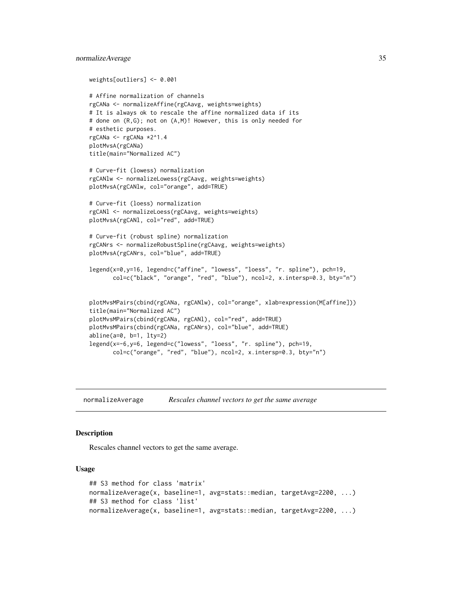```
weights[outliers] <- 0.001
# Affine normalization of channels
rgCANa <- normalizeAffine(rgCAavg, weights=weights)
# It is always ok to rescale the affine normalized data if its
# done on (R,G); not on (A,M)! However, this is only needed for
# esthetic purposes.
rgCANa <- rgCANa *2^1.4
plotMvsA(rgCANa)
title(main="Normalized AC")
# Curve-fit (lowess) normalization
rgCANlw <- normalizeLowess(rgCAavg, weights=weights)
plotMvsA(rgCANlw, col="orange", add=TRUE)
# Curve-fit (loess) normalization
rgCANl <- normalizeLoess(rgCAavg, weights=weights)
plotMvsA(rgCANl, col="red", add=TRUE)
# Curve-fit (robust spline) normalization
rgCANrs <- normalizeRobustSpline(rgCAavg, weights=weights)
plotMvsA(rgCANrs, col="blue", add=TRUE)
legend(x=0,y=16, legend=c("affine", "lowess", "loess", "r. spline"), pch=19,
      col=c("black", "orange", "red", "blue"), ncol=2, x.intersp=0.3, bty="n")
plotMvsMPairs(cbind(rgCANa, rgCANlw), col="orange", xlab=expression(M[affine]))
title(main="Normalized AC")
plotMvsMPairs(cbind(rgCANa, rgCANl), col="red", add=TRUE)
plotMvsMPairs(cbind(rgCANa, rgCANrs), col="blue", add=TRUE)
abline(a=0, b=1, lty=2)
legend(x=-6,y=6, legend=c("lowess", "loess", "r. spline"), pch=19,
      col=c("orange", "red", "blue"), ncol=2, x.intersp=0.3, bty="n")
```
normalizeAverage *Rescales channel vectors to get the same average*

#### **Description**

Rescales channel vectors to get the same average.

#### Usage

```
## S3 method for class 'matrix'
normalizeAverage(x, baseline=1, avg=stats::median, targetAvg=2200, ...)
## S3 method for class 'list'
normalizeAverage(x, baseline=1, avg=stats::median, targetAvg=2200, ...)
```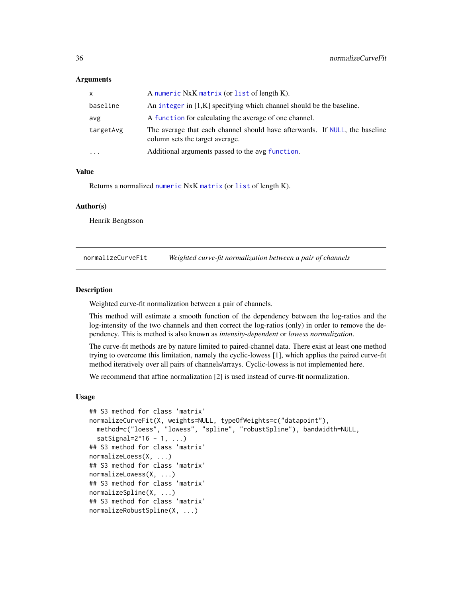#### <span id="page-35-0"></span>Arguments

| $\mathsf{x}$            | A numeric NxK matrix (or list of length K).                                                                    |
|-------------------------|----------------------------------------------------------------------------------------------------------------|
| baseline                | An integer in [1,K] specifying which channel should be the baseline.                                           |
| avg                     | A function for calculating the average of one channel.                                                         |
| targetAvg               | The average that each channel should have afterwards. If NULL, the baseline<br>column sets the target average. |
| $\cdot$ $\cdot$ $\cdot$ | Additional arguments passed to the avg function.                                                               |

## Value

Returns a normalized [numeric](#page-0-0) NxK [matrix](#page-0-0) (or [list](#page-0-0) of length K).

#### Author(s)

Henrik Bengtsson

<span id="page-35-1"></span>normalizeCurveFit *Weighted curve-fit normalization between a pair of channels*

#### Description

Weighted curve-fit normalization between a pair of channels.

This method will estimate a smooth function of the dependency between the log-ratios and the log-intensity of the two channels and then correct the log-ratios (only) in order to remove the dependency. This is method is also known as *intensity-dependent* or *lowess normalization*.

The curve-fit methods are by nature limited to paired-channel data. There exist at least one method trying to overcome this limitation, namely the cyclic-lowess [1], which applies the paired curve-fit method iteratively over all pairs of channels/arrays. Cyclic-lowess is not implemented here.

We recommend that affine normalization [2] is used instead of curve-fit normalization.

#### Usage

```
## S3 method for class 'matrix'
normalizeCurveFit(X, weights=NULL, typeOfWeights=c("datapoint"),
 method=c("loess", "lowess", "spline", "robustSpline"), bandwidth=NULL,
  satsignal=2^16 - 1, ...)## S3 method for class 'matrix'
normalizeLoess(X, ...)
## S3 method for class 'matrix'
normalizeLowess(X, ...)
## S3 method for class 'matrix'
normalizeSpline(X, ...)
## S3 method for class 'matrix'
normalizeRobustSpline(X, ...)
```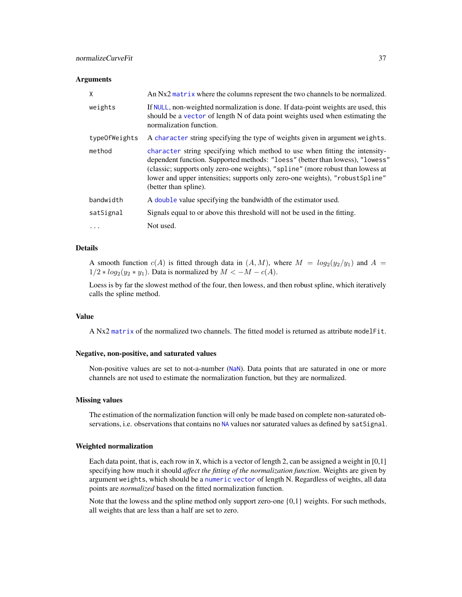#### <span id="page-36-0"></span>Arguments

| X             | An Nx2 matrix where the columns represent the two channels to be normalized.                                                                                                                                                                                                                                                                              |
|---------------|-----------------------------------------------------------------------------------------------------------------------------------------------------------------------------------------------------------------------------------------------------------------------------------------------------------------------------------------------------------|
| weights       | If NULL, non-weighted normalization is done. If data-point weights are used, this<br>should be a vector of length N of data point weights used when estimating the<br>normalization function.                                                                                                                                                             |
| typeOfWeights | A character string specifying the type of weights given in argument weights.                                                                                                                                                                                                                                                                              |
| method        | character string specifying which method to use when fitting the intensity-<br>dependent function. Supported methods: "loess" (better than lowess), "lowess"<br>(classic; supports only zero-one weights), "spline" (more robust than lowess at<br>lower and upper intensities; supports only zero-one weights), "robust Spline"<br>(better than spline). |
| bandwidth     | A double value specifying the bandwidth of the estimator used.                                                                                                                                                                                                                                                                                            |
| satSignal     | Signals equal to or above this threshold will not be used in the fitting.                                                                                                                                                                                                                                                                                 |
| $\cdots$      | Not used.                                                                                                                                                                                                                                                                                                                                                 |

## Details

A smooth function  $c(A)$  is fitted through data in  $(A, M)$ , where  $M = log_2(y_2/y_1)$  and  $A =$  $1/2 * log_2(y_2 * y_1)$ . Data is normalized by  $M < -M - c(A)$ .

Loess is by far the slowest method of the four, then lowess, and then robust spline, which iteratively calls the spline method.

#### Value

A Nx2 [matrix](#page-0-0) of the normalized two channels. The fitted model is returned as attribute modelFit.

#### Negative, non-positive, and saturated values

Non-positive values are set to not-a-number ([NaN](#page-0-0)). Data points that are saturated in one or more channels are not used to estimate the normalization function, but they are normalized.

#### Missing values

The estimation of the normalization function will only be made based on complete non-saturated ob-servations, i.e. observations that contains no [NA](#page-0-0) values nor saturated values as defined by satSignal.

#### Weighted normalization

Each data point, that is, each row in X, which is a vector of length 2, can be assigned a weight in [0,1] specifying how much it should *affect the fitting of the normalization function*. Weights are given by argument weights, which should be a [numeric](#page-0-0) [vector](#page-0-0) of length N. Regardless of weights, all data points are *normalized* based on the fitted normalization function.

Note that the lowess and the spline method only support zero-one  $\{0,1\}$  weights. For such methods, all weights that are less than a half are set to zero.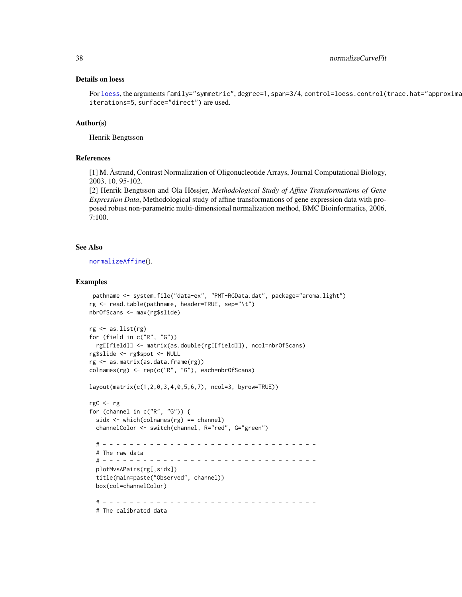#### <span id="page-37-0"></span>Details on loess

For [loess](#page-0-0), the arguments family="symmetric", degree=1, span=3/4, control=loess.control(trace.hat="approxima iterations=5, surface="direct") are used.

#### Author(s)

Henrik Bengtsson

#### References

[1] M. Åstrand, Contrast Normalization of Oligonucleotide Arrays, Journal Computational Biology, 2003, 10, 95-102.

[2] Henrik Bengtsson and Ola Hössjer, *Methodological Study of Affine Transformations of Gene Expression Data*, Methodological study of affine transformations of gene expression data with proposed robust non-parametric multi-dimensional normalization method, BMC Bioinformatics, 2006, 7:100.

#### See Also

[normalizeAffine](#page-30-1)().

#### Examples

```
pathname <- system.file("data-ex", "PMT-RGData.dat", package="aroma.light")
rg <- read.table(pathname, header=TRUE, sep="\t")
nbrOfScans <- max(rg$slide)
rg <- as.list(rg)
for (field in c("R", "G"))
 rg[[field]] <- matrix(as.double(rg[[field]]), ncol=nbrOfScans)
rg$slide <- rg$spot <- NULL
rg <- as.matrix(as.data.frame(rg))
colnames(rg) <- rep(c("R", "G"), each=nbrOfScans)
layout(matrix(c(1,2,0,3,4,0,5,6,7), ncol=3, byrow=TRUE))
rgC <- rg
for (channel in c("R", "G")) {
 sidx <- which(colnames(rg) == channel)
 channelColor <- switch(channel, R="red", G="green")
 # - - - - - - - - - - - - - - - - - - - - - - - - - - - - - - - -
 # The raw data
 # - - - - - - - - - - - - - - - - - - - - - - - - - - - - - - - -
 plotMvsAPairs(rg[,sidx])
 title(main=paste("Observed", channel))
 box(col=channelColor)
 # - - - - - - - - - - - - - - - - - - - - - - - - - - - - - - - -
 # The calibrated data
```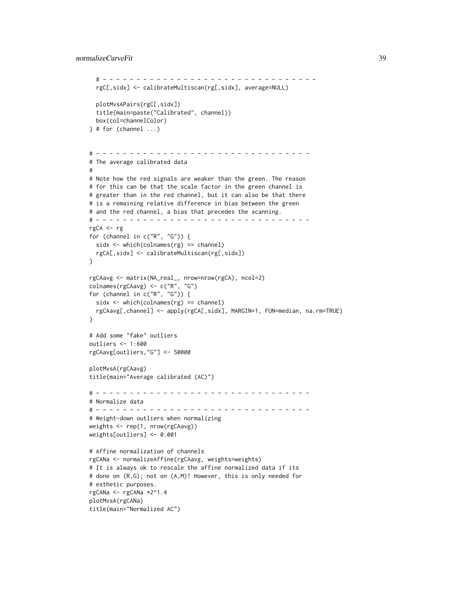## normalizeCurveFit 39

```
# - - - - - - - - - - - - - - - - - - - - - - - - - - - - - - - -
  rgC[,sidx] <- calibrateMultiscan(rg[,sidx], average=NULL)
  plotMvsAPairs(rgC[,sidx])
  title(main=paste("Calibrated", channel))
  box(col=channelColor)
\} # for (channel ...)
# - - - - - - - - - - - - - - - - - - - - - - - - - - - - - - - -
# The average calibrated data
#
# Note how the red signals are weaker than the green. The reason
# for this can be that the scale factor in the green channel is
# greater than in the red channel, but it can also be that there
# is a remaining relative difference in bias between the green
# and the red channel, a bias that precedes the scanning.
# - - - - - - - - - - - - - - - - - - - - - - - - - - - - - - - -
rgCA <- rg
for (channel in c("R", "G")) {
  sidx \leftarrow which(colnames(rg) == channel)rgCA[,sidx] <- calibrateMultiscan(rg[,sidx])
}
rgCAavg <- matrix(NA_real_, nrow=nrow(rgCA), ncol=2)
colnames(rgCAavg) <- c("R", "G")
for (channel in c("R", "G")) {
  sidx <- which(colnames(rg) == channel)
  rgCAavg[,channel] <- apply(rgCA[,sidx], MARGIN=1, FUN=median, na.rm=TRUE)
}
# Add some "fake" outliers
outliers <- 1:600
rgCAavg[outliers,"G"] <- 50000
plotMvsA(rgCAavg)
title(main="Average calibrated (AC)")
# - - - - - - - - - - - - - - - - - - - - - - - - - - - - - - - -
# Normalize data
# - - - - - - - - - - - - - - - - - - - - - - - - - - - - - - - -
# Weight-down outliers when normalizing
weights <- rep(1, nrow(rgCAavg))
weights[outliers] <- 0.001
# Affine normalization of channels
rgCANa <- normalizeAffine(rgCAavg, weights=weights)
# It is always ok to rescale the affine normalized data if its
# done on (R,G); not on (A,M)! However, this is only needed for
# esthetic purposes.
rgCANa <- rgCANa *2^1.4
plotMvsA(rgCANa)
title(main="Normalized AC")
```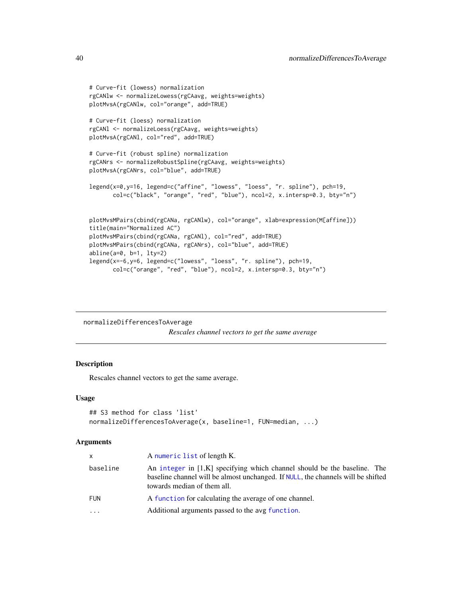```
# Curve-fit (lowess) normalization
rgCANlw <- normalizeLowess(rgCAavg, weights=weights)
plotMvsA(rgCANlw, col="orange", add=TRUE)
# Curve-fit (loess) normalization
rgCANl <- normalizeLoess(rgCAavg, weights=weights)
plotMvsA(rgCANl, col="red", add=TRUE)
# Curve-fit (robust spline) normalization
rgCANrs <- normalizeRobustSpline(rgCAavg, weights=weights)
plotMvsA(rgCANrs, col="blue", add=TRUE)
legend(x=0,y=16, legend=c("affine", "lowess", "loess", "r. spline"), pch=19,
       col=c("black", "orange", "red", "blue"), ncol=2, x.intersp=0.3, bty="n")
plotMvsMPairs(cbind(rgCANa, rgCANlw), col="orange", xlab=expression(M[affine]))
title(main="Normalized AC")
plotMvsMPairs(cbind(rgCANa, rgCANl), col="red", add=TRUE)
plotMvsMPairs(cbind(rgCANa, rgCANrs), col="blue", add=TRUE)
abline(a=0, b=1, lty=2)
legend(x=-6,y=6, legend=c("lowess", "loess", "r. spline"), pch=19,
       col=c("orange", "red", "blue"), ncol=2, x.intersp=0.3, bty="n")
```
normalizeDifferencesToAverage *Rescales channel vectors to get the same average*

#### **Description**

Rescales channel vectors to get the same average.

## Usage

```
## S3 method for class 'list'
normalizeDifferencesToAverage(x, baseline=1, FUN=median, ...)
```
#### Arguments

| $\mathsf{x}$ | A numeric list of length K.                                                                                                                                                                   |
|--------------|-----------------------------------------------------------------------------------------------------------------------------------------------------------------------------------------------|
| baseline     | An integer in $[1,K]$ specifying which channel should be the baseline. The<br>baseline channel will be almost unchanged. If NULL, the channels will be shifted<br>towards median of them all. |
| <b>FUN</b>   | A function for calculating the average of one channel.                                                                                                                                        |
| $\cdots$     | Additional arguments passed to the avg function.                                                                                                                                              |

<span id="page-39-0"></span>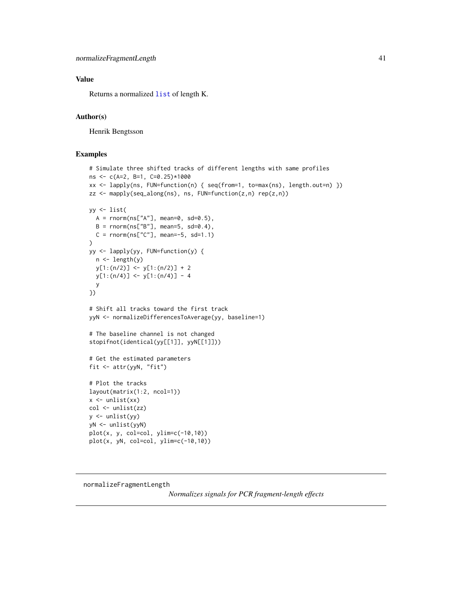## <span id="page-40-0"></span>Value

Returns a normalized [list](#page-0-0) of length K.

#### Author(s)

Henrik Bengtsson

## Examples

```
# Simulate three shifted tracks of different lengths with same profiles
ns <- c(A=2, B=1, C=0.25)*1000
xx <- lapply(ns, FUN=function(n) { seq(from=1, to=max(ns), length.out=n) })
zz <- mapply(seq_along(ns), ns, FUN=function(z,n) rep(z,n))
yy <- list(
  A = rnorm(ns['A''], mean=0, sd=0.5),B = rnorm(ns['B''], mean=5, sd=0.4),
  C = rnorm(ns['C''], mean=-5, sd=1.1)
)
yy <- lapply(yy, FUN=function(y) {
 n <- length(y)
 y[1:(n/2)] \leftarrow y[1:(n/2)] + 2y[1:(n/4)] <- y[1:(n/4)] - 4
  y
})
# Shift all tracks toward the first track
yyN <- normalizeDifferencesToAverage(yy, baseline=1)
# The baseline channel is not changed
stopifnot(identical(yy[[1]], yyN[[1]]))
# Get the estimated parameters
fit <- attr(yyN, "fit")
# Plot the tracks
layout(matrix(1:2, ncol=1))
x \leftarrow \text{unlist}(xx)col <- unlist(zz)
y \leftarrow \text{unlist}(yy)yN <- unlist(yyN)
plot(x, y, col=col, ylim=c(-10,10))
plot(x, yN, col=col, ylim=c(-10,10))
```

```
normalizeFragmentLength
```
*Normalizes signals for PCR fragment-length effects*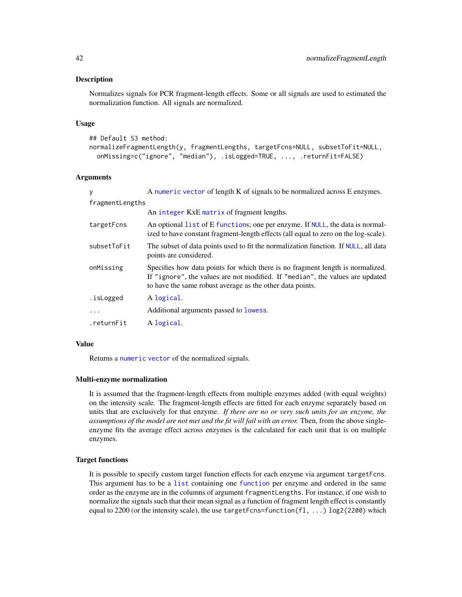#### <span id="page-41-0"></span>Description

Normalizes signals for PCR fragment-length effects. Some or all signals are used to estimated the normalization function. All signals are normalized.

#### Usage

```
## Default S3 method:
```

```
normalizeFragmentLength(y, fragmentLengths, targetFcns=NULL, subsetToFit=NULL,
  onMissing=c("ignore", "median"), .isLogged=TRUE, ..., .returnFit=FALSE)
```
#### Arguments

| У               | A numeric vector of length K of signals to be normalized across E enzymes.                                                                                                                                                   |
|-----------------|------------------------------------------------------------------------------------------------------------------------------------------------------------------------------------------------------------------------------|
| fragmentLengths |                                                                                                                                                                                                                              |
|                 | An integer KxE matrix of fragment lengths.                                                                                                                                                                                   |
| targetFcns      | An optional list of E functions; one per enzyme. If NULL, the data is normal-<br>ized to have constant fragment-length effects (all equal to zero on the log-scale).                                                         |
| subsetToFit     | The subset of data points used to fit the normalization function. If NULL, all data<br>points are considered.                                                                                                                |
| onMissing       | Specifies how data points for which there is no fragment length is normalized.<br>If "ignore", the values are not modified. If "median", the values are updated<br>to have the same robust average as the other data points. |
| .isLogged       | A logical.                                                                                                                                                                                                                   |
| $\cdots$        | Additional arguments passed to lowess.                                                                                                                                                                                       |
| .returnFit      | A logical.                                                                                                                                                                                                                   |

#### Value

Returns a [numeric](#page-0-0) [vector](#page-0-0) of the normalized signals.

#### Multi-enzyme normalization

It is assumed that the fragment-length effects from multiple enzymes added (with equal weights) on the intensity scale. The fragment-length effects are fitted for each enzyme separately based on units that are exclusively for that enzyme. *If there are no or very such units for an enzyme, the assumptions of the model are not met and the fit will fail with an error.* Then, from the above singleenzyme fits the average effect across enzymes is the calculated for each unit that is on multiple enzymes.

## Target functions

It is possible to specify custom target function effects for each enzyme via argument targetFcns. This argument has to be a [list](#page-0-0) containing one [function](#page-0-0) per enzyme and ordered in the same order as the enzyme are in the columns of argument fragmentLengths. For instance, if one wish to normalize the signals such that their mean signal as a function of fragment length effect is constantly equal to 2200 (or the intensity scale), the use targetFcns=function(fl, ...) log2(2200) which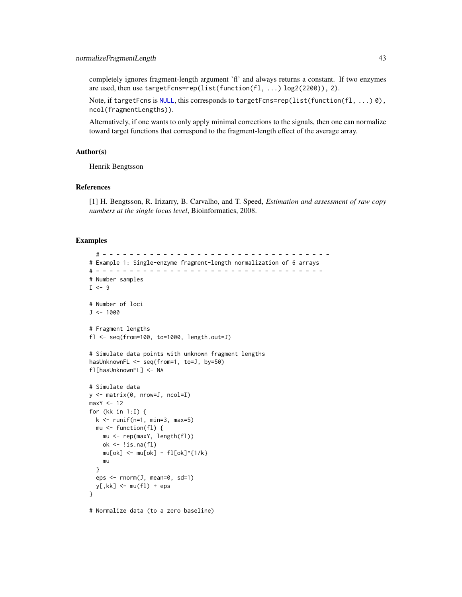<span id="page-42-0"></span>completely ignores fragment-length argument 'fl' and always returns a constant. If two enzymes are used, then use targetFcns=rep(list(function(fl, ...) log2(2200)), 2).

Note, if targetFcns is [NULL](#page-0-0), this corresponds to targetFcns=rep(list(function(fl, ...) 0), ncol(fragmentLengths)).

Alternatively, if one wants to only apply minimal corrections to the signals, then one can normalize toward target functions that correspond to the fragment-length effect of the average array.

## Author(s)

Henrik Bengtsson

## References

[1] H. Bengtsson, R. Irizarry, B. Carvalho, and T. Speed, *Estimation and assessment of raw copy numbers at the single locus level*, Bioinformatics, 2008.

#### Examples

```
# - - - - - - - - - - - - - - - - - - - - - - - - - - - - - - - - - -
# Example 1: Single-enzyme fragment-length normalization of 6 arrays
# - - - - - - - - - - - - - - - - - - - - - - - - - - - - - - - - - -
# Number samples
I \leftarrow 9# Number of loci
J < -1000# Fragment lengths
fl <- seq(from=100, to=1000, length.out=J)
# Simulate data points with unknown fragment lengths
hasUnknownFL <- seq(from=1, to=J, by=50)
fl[hasUnknownFL] <- NA
# Simulate data
y <- matrix(0, nrow=J, ncol=I)
maxY < -12for (kk in 1:I) {
  k \le runif(n=1, min=3, max=5)
 mu \leftarrow function(f1) {
    mu <- rep(maxY, length(fl))
    ok \leftarrow !is.na(fl)
    mu[ok] <- mu[ok] - fl[ok]<sup>{1/k}</sup>
    mu
  }
  eps <- rnorm(J, mean=0, sd=1)
  y[, kk] <- mu(fl) + eps
}
# Normalize data (to a zero baseline)
```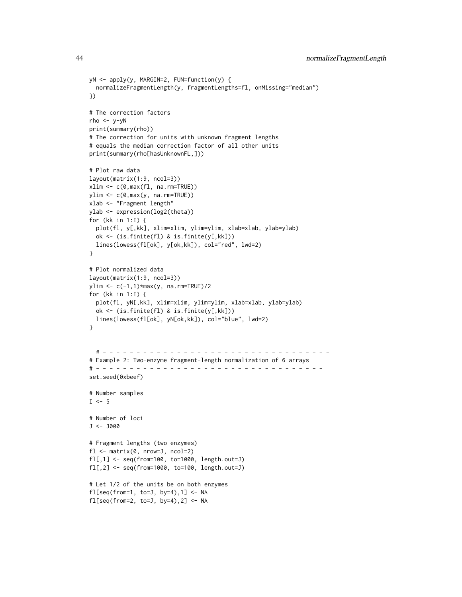```
yN <- apply(y, MARGIN=2, FUN=function(y) {
  normalizeFragmentLength(y, fragmentLengths=fl, onMissing="median")
})
# The correction factors
rho <- y-yN
print(summary(rho))
# The correction for units with unknown fragment lengths
# equals the median correction factor of all other units
print(summary(rho[hasUnknownFL,]))
# Plot raw data
layout(matrix(1:9, ncol=3))
xlim \leftarrow c(0, max(f1, na.rm=True))ylim <- c(0,max(y, na.rm=TRUE))
xlab <- "Fragment length"
ylab <- expression(log2(theta))
for (kk in 1:I) {
  plot(fl, y[,kk], xlim=xlim, ylim=ylim, xlab=xlab, ylab=ylab)
  ok <- (is.finite(fl) & is.finite(y[,kk]))
  lines(lowess(fl[ok], y[ok,kk]), col="red", lwd=2)
}
# Plot normalized data
layout(matrix(1:9, ncol=3))
ylim <- c(-1,1)*max(y, na.rm=TRUE)/2
for (kk in 1:I) {
  plot(fl, yN[,kk], xlim=xlim, ylim=ylim, xlab=xlab, ylab=ylab)
  ok <- (is.finite(fl) & is.finite(y[,kk]))
  lines(lowess(fl[ok], yN[ok,kk]), col="blue", lwd=2)
}
  # - - - - - - - - - - - - - - - - - - - - - - - - - - - - - - - - - -
# Example 2: Two-enzyme fragment-length normalization of 6 arrays
# - - - - - - - - - - - - - - - - - - - - - - - - - - - - - - - - - -
set.seed(0xbeef)
# Number samples
I \leftarrow 5# Number of loci
J < -3000# Fragment lengths (two enzymes)
fl <- matrix(0, nrow=J, ncol=2)
fl[,1] <- seq(from=100, to=1000, length.out=J)
fl[,2] <- seq(from=1000, to=100, length.out=J)
# Let 1/2 of the units be on both enzymes
fl[seq(from=1, to=J, by=4), 1] <- NA
fl[seq(from=2, to=J, by=4), 2] <- NA
```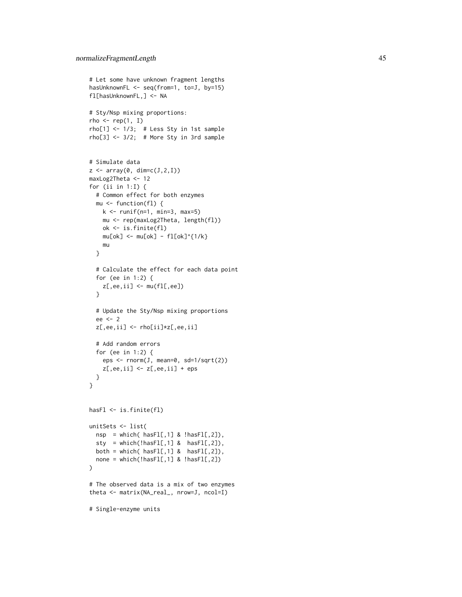```
# Let some have unknown fragment lengths
hasUnknownFL <- seq(from=1, to=J, by=15)
fl[hasUnknownFL,] <- NA
# Sty/Nsp mixing proportions:
rho \leq rep(1, I)
rho[1] <- 1/3; # Less Sty in 1st sample
rho[3] <- 3/2; # More Sty in 3rd sample
# Simulate data
z \leftarrow \text{array}(\emptyset, \text{dim=c}(J,2,I))maxLog2Theta <- 12
for (ii in 1:I) {
  # Common effect for both enzymes
  mu <- function(fl) {
    k \le runif(n=1, min=3, max=5)
    mu <- rep(maxLog2Theta, length(fl))
    ok <- is.finite(fl)
    mu[ok] < -mu[ok] - fl[ok]^{(1/2)}mu
  }
  # Calculate the effect for each data point
  for (ee in 1:2) {
    z[,ee,ii] <- mu(f1[,ee])}
  # Update the Sty/Nsp mixing proportions
  ee <- 2
  z[,ee,ii] <- rho[ii]*z[,ee,ii]
  # Add random errors
  for (ee in 1:2) {
    eps <- rnorm(J, mean=0, sd=1/sqrt(2))
    z[,ee,ii] <- z[,ee,ii] + eps
  }
}
hasFl <- is.finite(fl)
unitSets <- list(
  nsp = which( hasF1[, 1] & !hasF1[, 2]),sty = which(!hasFI[,1] & hasFI[,2],
  both = which( hasFI[,1] & hasFI[,2]),
  none = which(!hasFl[,1] & !hasFl[,2])
\lambda# The observed data is a mix of two enzymes
theta <- matrix(NA_real_, nrow=J, ncol=I)
# Single-enzyme units
```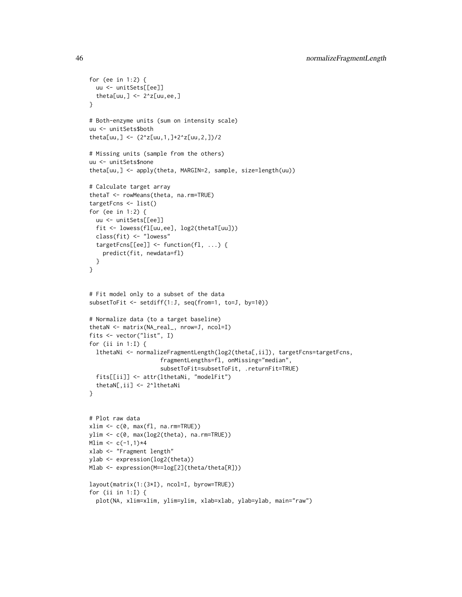```
for (ee in 1:2) {
  uu <- unitSets[[ee]]
  theta[uu,] <- 2^xZ[uu,ee,]
}
# Both-enzyme units (sum on intensity scale)
uu <- unitSets$both
theta[uu,] <- (2^z[uu,1,]+2^z[uu,2,])/2
# Missing units (sample from the others)
uu <- unitSets$none
theta[uu,] <- apply(theta, MARGIN=2, sample, size=length(uu))
# Calculate target array
thetaT <- rowMeans(theta, na.rm=TRUE)
targetFcns <- list()
for (ee in 1:2) {
 uu <- unitSets[[ee]]
  fit <- lowess(fl[uu,ee], log2(thetaT[uu]))
  class(fit) <- "lowess"
  targetFcns[[ee]] <- function(fl, ...) {
   predict(fit, newdata=fl)
  }
}
# Fit model only to a subset of the data
subsetToFit <- setdiff(1:J, seq(from=1, to=J, by=10))
# Normalize data (to a target baseline)
thetaN <- matrix(NA_real_, nrow=J, ncol=I)
fits <- vector("list", I)
for (ii in 1:I) {
  lthetaNi <- normalizeFragmentLength(log2(theta[,ii]), targetFcns=targetFcns,
                     fragmentLengths=fl, onMissing="median",
                     subsetToFit=subsetToFit, .returnFit=TRUE)
  fits[[ii]] <- attr(lthetaNi, "modelFit")
  thetaN[,ii] <- 2^lthetaNi
}
# Plot raw data
xlim <- c(0, max(fl, na.rm=TRUE))
ylim <- c(0, max(log2(theta), na.rm=TRUE))
Mlim <-c(-1,1)*4xlab <- "Fragment length"
ylab <- expression(log2(theta))
Mlab <- expression(M==log[2](theta/theta[R]))
layout(matrix(1:(3*I), ncol=I, byrow=TRUE))
for (ii in 1:I) {
  plot(NA, xlim=xlim, ylim=ylim, xlab=xlab, ylab=ylab, main="raw")
```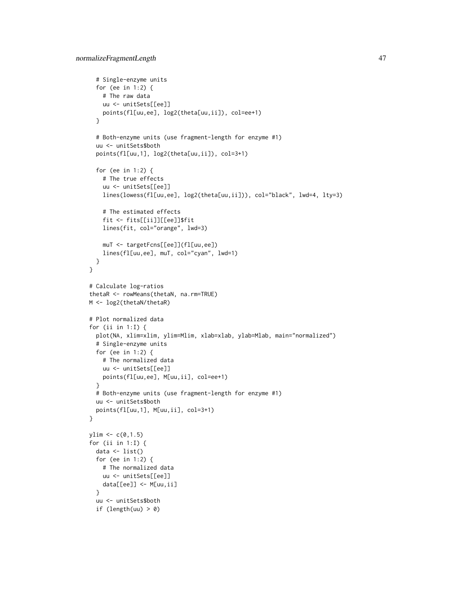```
# Single-enzyme units
  for (ee in 1:2) {
    # The raw data
    uu <- unitSets[[ee]]
    points(fl[uu,ee], log2(theta[uu,ii]), col=ee+1)
  }
  # Both-enzyme units (use fragment-length for enzyme #1)
  uu <- unitSets$both
  points(fl[uu,1], log2(theta[uu,ii]), col=3+1)
  for (ee in 1:2) {
    # The true effects
    uu <- unitSets[[ee]]
    lines(lowess(fl[uu,ee], log2(theta[uu,ii])), col="black", lwd=4, lty=3)
    # The estimated effects
    fit <- fits[[ii]][[ee]]$fit
    lines(fit, col="orange", lwd=3)
    muT <- targetFcns[[ee]](fl[uu,ee])
    lines(fl[uu,ee], muT, col="cyan", lwd=1)
  }
}
# Calculate log-ratios
thetaR <- rowMeans(thetaN, na.rm=TRUE)
M <- log2(thetaN/thetaR)
# Plot normalized data
for (ii in 1:I) {
  plot(NA, xlim=xlim, ylim=Mlim, xlab=xlab, ylab=Mlab, main="normalized")
  # Single-enzyme units
  for (ee in 1:2) {
    # The normalized data
    uu <- unitSets[[ee]]
    points(fl[uu,ee], M[uu,ii], col=ee+1)
  }
  # Both-enzyme units (use fragment-length for enzyme #1)
  uu <- unitSets$both
  points(fl[uu,1], M[uu,ii], col=3+1)
}
ylim \leftarrow c(0,1.5)for (ii in 1:I) {
  data \leftarrow list()
  for (ee in 1:2) {
    # The normalized data
    uu <- unitSets[[ee]]
    data[[ee]] <- M[uu,ii]
  }
  uu <- unitSets$both
  if (length(uu) > 0)
```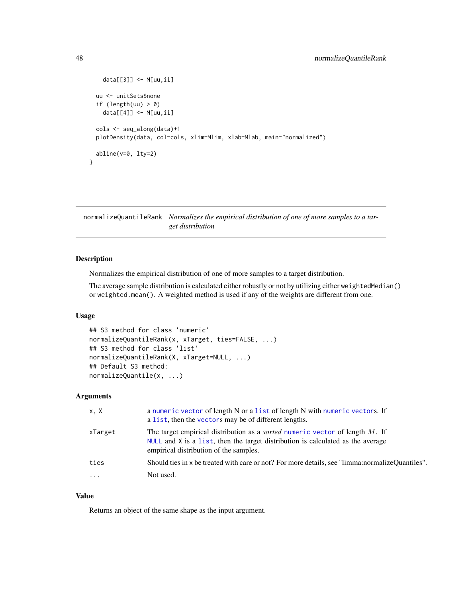```
data[[3]] <- M[uu,ii]
 uu <- unitSets$none
 if (length(uu) > 0)data[[4]] <- M[uu,ii]
 cols <- seq_along(data)+1
 plotDensity(data, col=cols, xlim=Mlim, xlab=Mlab, main="normalized")
 abline(v=0, lty=2)
}
```
<span id="page-47-1"></span>normalizeQuantileRank *Normalizes the empirical distribution of one of more samples to a target distribution*

#### Description

Normalizes the empirical distribution of one of more samples to a target distribution.

The average sample distribution is calculated either robustly or not by utilizing either weightedMedian() or weighted.mean(). A weighted method is used if any of the weights are different from one.

#### Usage

```
## S3 method for class 'numeric'
normalizeQuantileRank(x, xTarget, ties=FALSE, ...)
## S3 method for class 'list'
normalizeQuantileRank(X, xTarget=NULL, ...)
## Default S3 method:
normalizeQuantile(x, ...)
```
#### Arguments

| x.X     | a numeric vector of length N or a list of length N with numeric vectors. If<br>a list, then the vectors may be of different lengths.                                                                                 |
|---------|----------------------------------------------------------------------------------------------------------------------------------------------------------------------------------------------------------------------|
| xTarget | The target empirical distribution as a <i>sorted</i> numeric vector of length M. If<br>$NULL$ and $X$ is a list, then the target distribution is calculated as the average<br>empirical distribution of the samples. |
| ties    | Should ties in x be treated with care or not? For more details, see "limma: normalize Quantiles".                                                                                                                    |
| $\cdot$ | Not used.                                                                                                                                                                                                            |

## Value

Returns an object of the same shape as the input argument.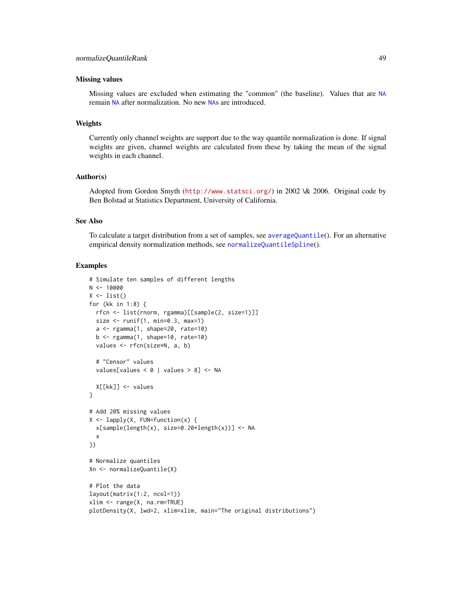#### <span id="page-48-0"></span>Missing values

Missing values are excluded when estimating the "common" (the baseline). Values that are [NA](#page-0-0) remain [NA](#page-0-0) after normalization. No new [NA](#page-0-0)s are introduced.

## Weights

Currently only channel weights are support due to the way quantile normalization is done. If signal weights are given, channel weights are calculated from these by taking the mean of the signal weights in each channel.

#### Author(s)

Adopted from Gordon Smyth (<http://www.statsci.org/>) in 2002 \& 2006. Original code by Ben Bolstad at Statistics Department, University of California.

#### See Also

To calculate a target distribution from a set of samples, see [averageQuantile](#page-6-1)(). For an alternative empirical density normalization methods, see [normalizeQuantileSpline](#page-50-1)().

## Examples

```
# Simulate ten samples of different lengths
N < - 10000X \leftarrow list()for (kk in 1:8) {
  rfcn <- list(rnorm, rgamma)[[sample(2, size=1)]]
  size \le runif(1, min=0.3, max=1)
  a <- rgamma(1, shape=20, rate=10)
  b \leq - \text{rgamma}(1, \text{shape}=10, \text{rate}=10)values <- rfcn(size*N, a, b)
  # "Censor" values
  values[values < 0 | values > 8] <- NA
  X[[kk]] <- values
}
# Add 20% missing values
X \leftarrow \text{lapply}(X, \text{ FUN=function}(x) \x[sample(length(x), size=0.20*length(x))] <- NA
  x
})
# Normalize quantiles
Xn <- normalizeQuantile(X)
# Plot the data
layout(matrix(1:2, ncol=1))
xlim <- range(X, na.rm=TRUE)
plotDensity(X, lwd=2, xlim=xlim, main="The original distributions")
```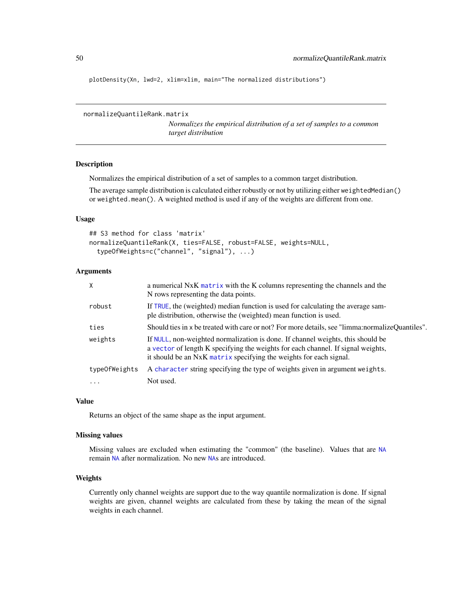<span id="page-49-0"></span>plotDensity(Xn, lwd=2, xlim=xlim, main="The normalized distributions")

```
normalizeQuantileRank.matrix
```
*Normalizes the empirical distribution of a set of samples to a common target distribution*

## Description

Normalizes the empirical distribution of a set of samples to a common target distribution.

The average sample distribution is calculated either robustly or not by utilizing either weightedMedian() or weighted.mean(). A weighted method is used if any of the weights are different from one.

#### Usage

```
## S3 method for class 'matrix'
normalizeQuantileRank(X, ties=FALSE, robust=FALSE, weights=NULL,
  typeOfWeights=c("channel", "signal"), ...)
```
## Arguments

| $\mathsf{X}$  | a numerical NxK matrix with the K columns representing the channels and the<br>N rows representing the data points.                                                                                                                       |
|---------------|-------------------------------------------------------------------------------------------------------------------------------------------------------------------------------------------------------------------------------------------|
| robust        | If TRUE, the (weighted) median function is used for calculating the average sam-<br>ple distribution, otherwise the (weighted) mean function is used.                                                                                     |
| ties          | Should ties in x be treated with care or not? For more details, see "limma: normalize Quantiles".                                                                                                                                         |
| weights       | If NULL, non-weighted normalization is done. If channel weights, this should be<br>a vector of length K specifying the weights for each channel. If signal weights,<br>it should be an NxK matrix specifying the weights for each signal. |
| typeOfWeights | A character string specifying the type of weights given in argument weights.                                                                                                                                                              |
| $\ddots$      | Not used.                                                                                                                                                                                                                                 |

#### Value

Returns an object of the same shape as the input argument.

#### Missing values

Missing values are excluded when estimating the "common" (the baseline). Values that are [NA](#page-0-0) remain [NA](#page-0-0) after normalization. No new [NA](#page-0-0)s are introduced.

## Weights

Currently only channel weights are support due to the way quantile normalization is done. If signal weights are given, channel weights are calculated from these by taking the mean of the signal weights in each channel.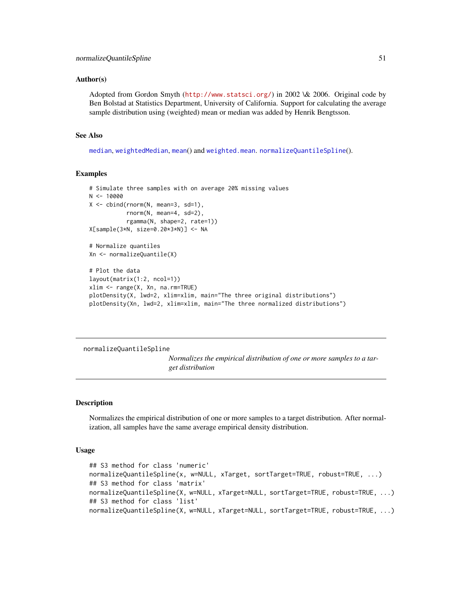#### <span id="page-50-0"></span>Author(s)

Adopted from Gordon Smyth (<http://www.statsci.org/>) in 2002 \& 2006. Original code by Ben Bolstad at Statistics Department, University of California. Support for calculating the average sample distribution using (weighted) mean or median was added by Henrik Bengtsson.

#### See Also

[median](#page-0-0), [weightedMedian](#page-0-0), [mean](#page-0-0)() and [weighted.mean](#page-0-0). [normalizeQuantileSpline](#page-50-1)().

#### Examples

```
# Simulate three samples with on average 20% missing values
N < - 10000X \le - \text{cbind}(rnorm(N, mean=3, sd=1),rnorm(N, mean=4, sd=2),
           rgamma(N, shape=2, rate=1))
X[sample(3*N, size=0.20*3*N)] <- NA
# Normalize quantiles
Xn <- normalizeQuantile(X)
# Plot the data
layout(matrix(1:2, ncol=1))
xlim <- range(X, Xn, na.rm=TRUE)
plotDensity(X, lwd=2, xlim=xlim, main="The three original distributions")
plotDensity(Xn, lwd=2, xlim=xlim, main="The three normalized distributions")
```
<span id="page-50-1"></span>normalizeQuantileSpline

*Normalizes the empirical distribution of one or more samples to a target distribution*

## Description

Normalizes the empirical distribution of one or more samples to a target distribution. After normalization, all samples have the same average empirical density distribution.

#### Usage

```
## S3 method for class 'numeric'
normalizeQuantileSpline(x, w=NULL, xTarget, sortTarget=TRUE, robust=TRUE, ...)
## S3 method for class 'matrix'
normalizeQuantileSpline(X, w=NULL, xTarget=NULL, sortTarget=TRUE, robust=TRUE, ...)
## S3 method for class 'list'
normalizeQuantileSpline(X, w=NULL, xTarget=NULL, sortTarget=TRUE, robust=TRUE, ...)
```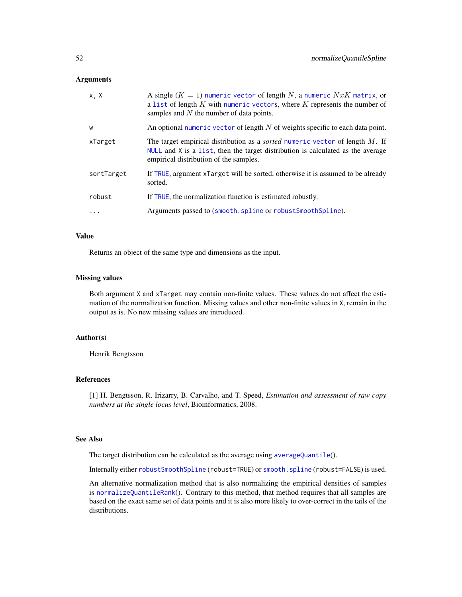#### <span id="page-51-0"></span>Arguments

| x, X       | A single $(K = 1)$ numeric vector of length N, a numeric $NxK$ matrix, or<br>a list of length $K$ with numeric vectors, where $K$ represents the number of<br>samples and $N$ the number of data points.         |
|------------|------------------------------------------------------------------------------------------------------------------------------------------------------------------------------------------------------------------|
| W          | An optional numeric vector of length $N$ of weights specific to each data point.                                                                                                                                 |
| xTarget    | The target empirical distribution as a <i>sorted</i> numeric vector of length M. If<br>NULL and X is a list, then the target distribution is calculated as the average<br>empirical distribution of the samples. |
| sortTarget | If TRUE, argument xTarget will be sorted, otherwise it is assumed to be already<br>sorted.                                                                                                                       |
| robust     | If TRUE, the normalization function is estimated robustly.                                                                                                                                                       |
| $\cdots$   | Arguments passed to (smooth.spline or robustSmoothSpline).                                                                                                                                                       |

## Value

Returns an object of the same type and dimensions as the input.

## Missing values

Both argument X and xTarget may contain non-finite values. These values do not affect the estimation of the normalization function. Missing values and other non-finite values in X, remain in the output as is. No new missing values are introduced.

## Author(s)

Henrik Bengtsson

## References

[1] H. Bengtsson, R. Irizarry, B. Carvalho, and T. Speed, *Estimation and assessment of raw copy numbers at the single locus level*, Bioinformatics, 2008.

#### See Also

The target distribution can be calculated as the average using [averageQuantile](#page-6-1)().

Internally either [robustSmoothSpline](#page-60-1) (robust=TRUE) or [smooth.spline](#page-0-0) (robust=FALSE) is used.

An alternative normalization method that is also normalizing the empirical densities of samples is [normalizeQuantileRank](#page-47-1)(). Contrary to this method, that method requires that all samples are based on the exact same set of data points and it is also more likely to over-correct in the tails of the distributions.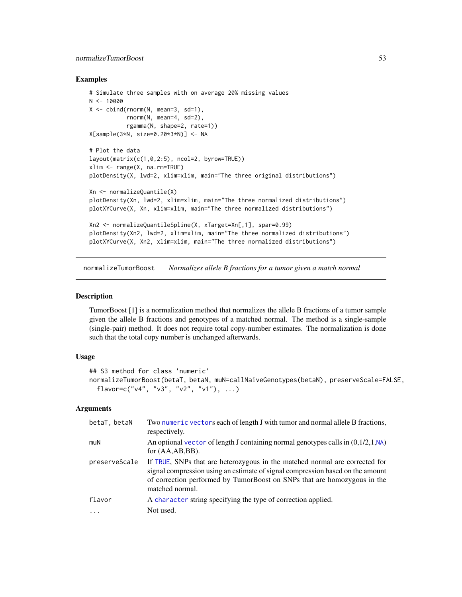## <span id="page-52-0"></span>normalizeTumorBoost 53

#### Examples

```
# Simulate three samples with on average 20% missing values
N < -10000X \le - \text{cbind}(rnorm(N, mean=3, sd=1),rnorm(N, mean=4, sd=2),
           rgamma(N, shape=2, rate=1))
X[sample(3*N, size=0.20*3*N)] <- NA
# Plot the data
layout(matrix(c(1,0,2:5), ncol=2, byrow=TRUE))
xlim <- range(X, na.rm=TRUE)
plotDensity(X, lwd=2, xlim=xlim, main="The three original distributions")
Xn <- normalizeQuantile(X)
plotDensity(Xn, lwd=2, xlim=xlim, main="The three normalized distributions")
plotXYCurve(X, Xn, xlim=xlim, main="The three normalized distributions")
Xn2 <- normalizeQuantileSpline(X, xTarget=Xn[,1], spar=0.99)
plotDensity(Xn2, lwd=2, xlim=xlim, main="The three normalized distributions")
plotXYCurve(X, Xn2, xlim=xlim, main="The three normalized distributions")
```
<span id="page-52-1"></span>normalizeTumorBoost *Normalizes allele B fractions for a tumor given a match normal*

#### Description

TumorBoost [1] is a normalization method that normalizes the allele B fractions of a tumor sample given the allele B fractions and genotypes of a matched normal. The method is a single-sample (single-pair) method. It does not require total copy-number estimates. The normalization is done such that the total copy number is unchanged afterwards.

## Usage

```
## S3 method for class 'numeric'
normalizeTumorBoost(betaT, betaN, muN=callNaiveGenotypes(betaN), preserveScale=FALSE,
  flavor=c("v4", "v3", "v2", "v1"), ...)
```
## Arguments

| betaT, betaN  | Two numeric vectors each of length J with tumor and normal allele B fractions,<br>respectively.                                                                                                                                                              |
|---------------|--------------------------------------------------------------------------------------------------------------------------------------------------------------------------------------------------------------------------------------------------------------|
| muN           | An optional vector of length J containing normal genotypes calls in $(0,1/2,1,\mathsf{NA})$<br>for $(AA, AB, BB)$ .                                                                                                                                          |
| preserveScale | If TRUE, SNPs that are heterozygous in the matched normal are corrected for<br>signal compression using an estimate of signal compression based on the amount<br>of correction performed by TumorBoost on SNPs that are homozygous in the<br>matched normal. |
| flavor        | A character string specifying the type of correction applied.                                                                                                                                                                                                |
|               | Not used.                                                                                                                                                                                                                                                    |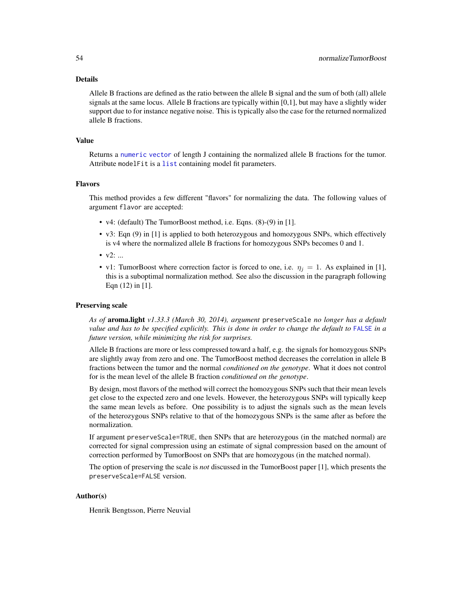#### <span id="page-53-0"></span>Details

Allele B fractions are defined as the ratio between the allele B signal and the sum of both (all) allele signals at the same locus. Allele B fractions are typically within [0,1], but may have a slightly wider support due to for instance negative noise. This is typically also the case for the returned normalized allele B fractions.

## Value

Returns a [numeric](#page-0-0) [vector](#page-0-0) of length J containing the normalized allele B fractions for the tumor. Attribute modelFit is a [list](#page-0-0) containing model fit parameters.

#### Flavors

This method provides a few different "flavors" for normalizing the data. The following values of argument flavor are accepted:

- v4: (default) The TumorBoost method, i.e. Eqns. (8)-(9) in [1].
- v3: Eqn (9) in [1] is applied to both heterozygous and homozygous SNPs, which effectively is v4 where the normalized allele B fractions for homozygous SNPs becomes 0 and 1.
- $v2: ...$
- v1: TumorBoost where correction factor is forced to one, i.e.  $\eta_j = 1$ . As explained in [1], this is a suboptimal normalization method. See also the discussion in the paragraph following Eqn (12) in [1].

#### Preserving scale

*As of* aroma.light *v1.33.3 (March 30, 2014), argument* preserveScale *no longer has a default value and has to be specified explicitly. This is done in order to change the default to* [FALSE](#page-0-0) *in a future version, while minimizing the risk for surprises.*

Allele B fractions are more or less compressed toward a half, e.g. the signals for homozygous SNPs are slightly away from zero and one. The TumorBoost method decreases the correlation in allele B fractions between the tumor and the normal *conditioned on the genotype*. What it does not control for is the mean level of the allele B fraction *conditioned on the genotype*.

By design, most flavors of the method will correct the homozygous SNPs such that their mean levels get close to the expected zero and one levels. However, the heterozygous SNPs will typically keep the same mean levels as before. One possibility is to adjust the signals such as the mean levels of the heterozygous SNPs relative to that of the homozygous SNPs is the same after as before the normalization.

If argument preserveScale=TRUE, then SNPs that are heterozygous (in the matched normal) are corrected for signal compression using an estimate of signal compression based on the amount of correction performed by TumorBoost on SNPs that are homozygous (in the matched normal).

The option of preserving the scale is *not* discussed in the TumorBoost paper [1], which presents the preserveScale=FALSE version.

## Author(s)

Henrik Bengtsson, Pierre Neuvial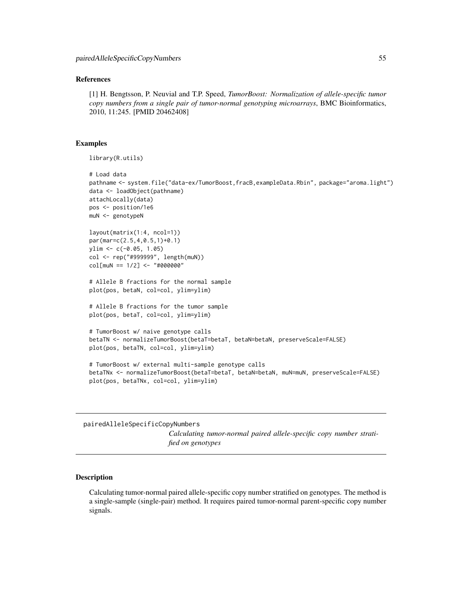#### <span id="page-54-0"></span>References

[1] H. Bengtsson, P. Neuvial and T.P. Speed, *TumorBoost: Normalization of allele-specific tumor copy numbers from a single pair of tumor-normal genotyping microarrays*, BMC Bioinformatics, 2010, 11:245. [PMID 20462408]

## Examples

library(R.utils)

```
# Load data
pathname <- system.file("data-ex/TumorBoost,fracB,exampleData.Rbin", package="aroma.light")
data <- loadObject(pathname)
attachLocally(data)
pos <- position/1e6
muN <- genotypeN
layout(matrix(1:4, ncol=1))
par(mar=c(2.5,4,0.5,1)+0.1)
ylim <- c(-0.05, 1.05)
col <- rep("#999999", length(muN))
col[muN == 1/2] <- "#000000"
# Allele B fractions for the normal sample
plot(pos, betaN, col=col, ylim=ylim)
# Allele B fractions for the tumor sample
plot(pos, betaT, col=col, ylim=ylim)
# TumorBoost w/ naive genotype calls
betaTN <- normalizeTumorBoost(betaT=betaT, betaN=betaN, preserveScale=FALSE)
plot(pos, betaTN, col=col, ylim=ylim)
# TumorBoost w/ external multi-sample genotype calls
betaTNx <- normalizeTumorBoost(betaT=betaT, betaN=betaN, muN=muN, preserveScale=FALSE)
plot(pos, betaTNx, col=col, ylim=ylim)
```
pairedAlleleSpecificCopyNumbers

*Calculating tumor-normal paired allele-specific copy number stratified on genotypes*

#### **Description**

Calculating tumor-normal paired allele-specific copy number stratified on genotypes. The method is a single-sample (single-pair) method. It requires paired tumor-normal parent-specific copy number signals.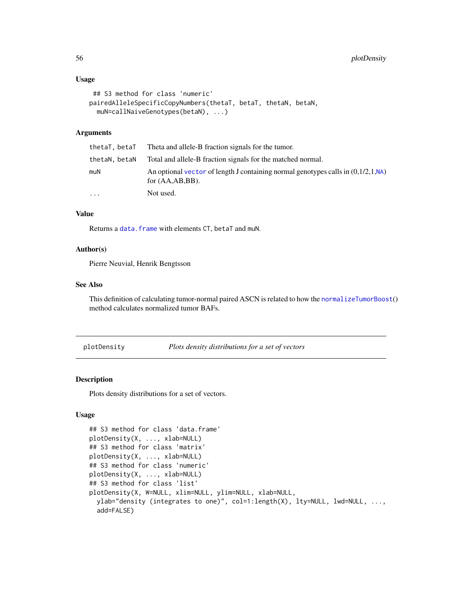#### <span id="page-55-0"></span>Usage

```
## S3 method for class 'numeric'
pairedAlleleSpecificCopyNumbers(thetaT, betaT, thetaN, betaN,
 muN=callNaiveGenotypes(betaN), ...)
```
## Arguments

|               | thetaT, betaT Theta and allele-B fraction signals for the tumor.                                             |
|---------------|--------------------------------------------------------------------------------------------------------------|
| thetaN, betaN | Total and allele-B fraction signals for the matched normal.                                                  |
| muN           | An optional vector of length J containing normal genotypes calls in $(0.1/2.1$ , NA)<br>for $(AA, AB, BB)$ . |
| .             | Not used.                                                                                                    |

## Value

Returns a [data.frame](#page-0-0) with elements CT, betaT and muN.

## Author(s)

Pierre Neuvial, Henrik Bengtsson

## See Also

This definition of calculating tumor-normal paired ASCN is related to how the [normalizeTumorBoost](#page-52-1)() method calculates normalized tumor BAFs.

plotDensity *Plots density distributions for a set of vectors*

#### Description

Plots density distributions for a set of vectors.

## Usage

```
## S3 method for class 'data.frame'
plotDensity(X, ..., xlab=NULL)
## S3 method for class 'matrix'
plotDensity(X, ..., xlab=NULL)
## S3 method for class 'numeric'
plotDensity(X, ..., xlab=NULL)
## S3 method for class 'list'
plotDensity(X, W=NULL, xlim=NULL, ylim=NULL, xlab=NULL,
 ylab="density (integrates to one)", col=1:length(X), lty=NULL, lwd=NULL, ...,
  add=FALSE)
```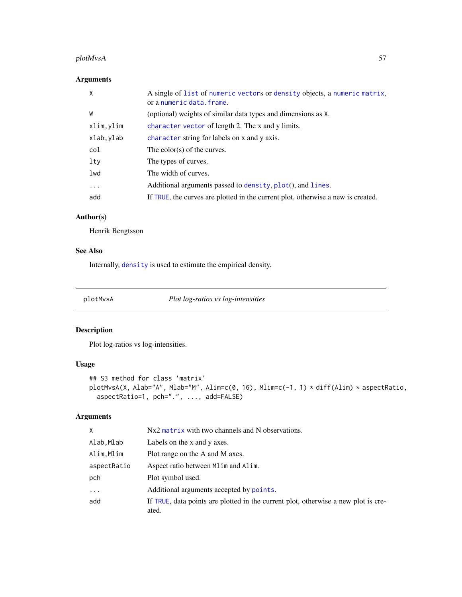#### <span id="page-56-0"></span>plotMvsA 57

## Arguments

| X         | A single of list of numeric vectors or density objects, a numeric matrix,<br>or a numeric data. frame. |
|-----------|--------------------------------------------------------------------------------------------------------|
| W         | (optional) weights of similar data types and dimensions as X.                                          |
| xlim,ylim | character vector of length 2. The x and y limits.                                                      |
| xlab,ylab | character string for labels on x and y axis.                                                           |
| col       | The color(s) of the curves.                                                                            |
| lty       | The types of curves.                                                                                   |
| lwd       | The width of curves.                                                                                   |
| $\cdots$  | Additional arguments passed to density, plot(), and lines.                                             |
| add       | If TRUE, the curves are plotted in the current plot, otherwise a new is created.                       |

## Author(s)

Henrik Bengtsson

## See Also

Internally, [density](#page-0-0) is used to estimate the empirical density.

plotMvsA *Plot log-ratios vs log-intensities*

## Description

Plot log-ratios vs log-intensities.

## Usage

```
## S3 method for class 'matrix'
plotMvsA(X, Alab="A", Mlab="M", Alim=c(0, 16), Mlim=c(-1, 1) * diff(Alim) * aspectRatio,
 aspectRatio=1, pch=".", ..., add=FALSE)
```
## Arguments

| X           | $Nx2$ matrix with two channels and N observations.                                          |
|-------------|---------------------------------------------------------------------------------------------|
| Alab,Mlab   | Labels on the x and y axes.                                                                 |
| Alim, Mlim  | Plot range on the A and M axes.                                                             |
| aspectRatio | Aspect ratio between Mlim and Alim.                                                         |
| pch         | Plot symbol used.                                                                           |
| $\cdots$    | Additional arguments accepted by points.                                                    |
| add         | If TRUE, data points are plotted in the current plot, otherwise a new plot is cre-<br>ated. |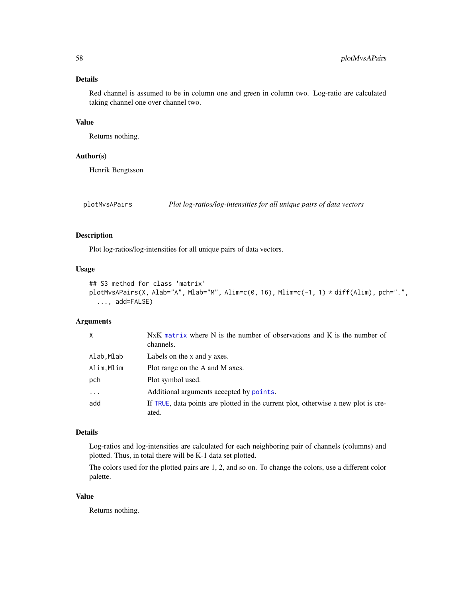## <span id="page-57-0"></span>Details

Red channel is assumed to be in column one and green in column two. Log-ratio are calculated taking channel one over channel two.

#### Value

Returns nothing.

#### Author(s)

Henrik Bengtsson

plotMvsAPairs *Plot log-ratios/log-intensities for all unique pairs of data vectors*

## Description

Plot log-ratios/log-intensities for all unique pairs of data vectors.

## Usage

```
## S3 method for class 'matrix'
plotMvsAPairs(X, Alab="A", Mlab="M", Alim=c(0, 16), Mlim=c(-1, 1) * diff(Alim), pch=".",
  ..., add=FALSE)
```
## Arguments

| X         | NxK matrix where N is the number of observations and K is the number of<br>channels.        |
|-----------|---------------------------------------------------------------------------------------------|
| Alab,Mlab | Labels on the x and y axes.                                                                 |
| Alim,Mlim | Plot range on the A and M axes.                                                             |
| pch       | Plot symbol used.                                                                           |
| $\cdots$  | Additional arguments accepted by points.                                                    |
| add       | If TRUE, data points are plotted in the current plot, otherwise a new plot is cre-<br>ated. |

#### Details

Log-ratios and log-intensities are calculated for each neighboring pair of channels (columns) and plotted. Thus, in total there will be K-1 data set plotted.

The colors used for the plotted pairs are 1, 2, and so on. To change the colors, use a different color palette.

## Value

Returns nothing.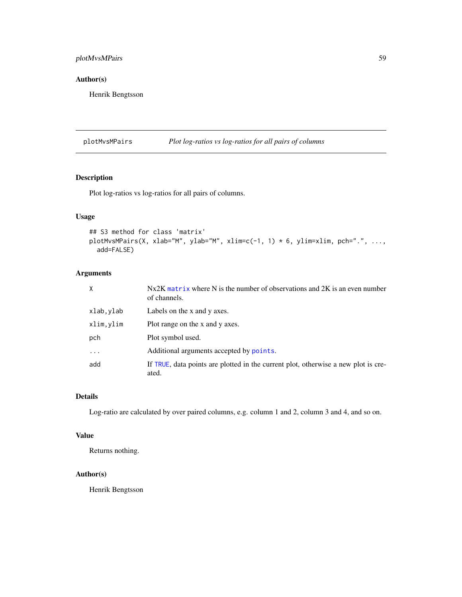## <span id="page-58-0"></span>plotMvsMPairs 59

## Author(s)

Henrik Bengtsson

plotMvsMPairs *Plot log-ratios vs log-ratios for all pairs of columns*

## Description

Plot log-ratios vs log-ratios for all pairs of columns.

## Usage

```
## S3 method for class 'matrix'
plotMvsMPairs(X, xlab="M", ylab="M", xlim=c(-1, 1) * 6, ylim=xlim, pch=".", ...,
  add=FALSE)
```
## Arguments

| X          | $Nx2K$ matrix where N is the number of observations and 2K is an even number<br>of channels. |
|------------|----------------------------------------------------------------------------------------------|
| xlab,ylab  | Labels on the x and y axes.                                                                  |
| xlim, ylim | Plot range on the x and y axes.                                                              |
| pch        | Plot symbol used.                                                                            |
| $\cdots$   | Additional arguments accepted by points.                                                     |
| add        | If TRUE, data points are plotted in the current plot, otherwise a new plot is cre-<br>ated.  |

## Details

Log-ratio are calculated by over paired columns, e.g. column 1 and 2, column 3 and 4, and so on.

## Value

Returns nothing.

## Author(s)

Henrik Bengtsson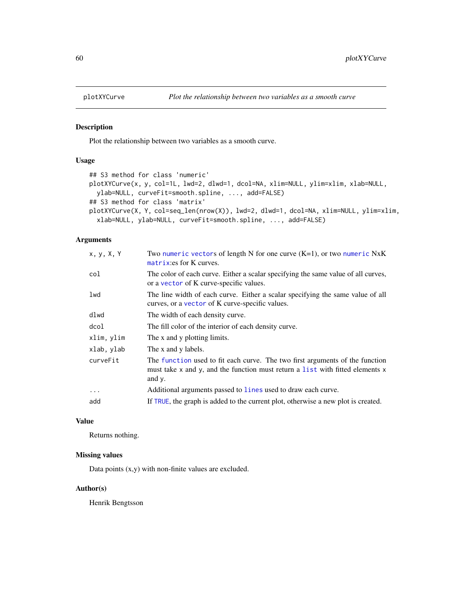<span id="page-59-0"></span>

#### Description

Plot the relationship between two variables as a smooth curve.

## Usage

```
## S3 method for class 'numeric'
plotXYCurve(x, y, col=1L, lwd=2, dlwd=1, dcol=NA, xlim=NULL, ylim=xlim, xlab=NULL,
  ylab=NULL, curveFit=smooth.spline, ..., add=FALSE)
## S3 method for class 'matrix'
plotXYCurve(X, Y, col=seq_len(nrow(X)), lwd=2, dlwd=1, dcol=NA, xlim=NULL, ylim=xlim,
  xlab=NULL, ylab=NULL, curveFit=smooth.spline, ..., add=FALSE)
```
## Arguments

| Two numeric vectors of length N for one curve $(K=1)$ , or two numeric NxK<br>matrix: es for K curves.                                                                  |
|-------------------------------------------------------------------------------------------------------------------------------------------------------------------------|
| The color of each curve. Either a scalar specifying the same value of all curves,<br>or a vector of K curve-specific values.                                            |
| The line width of each curve. Either a scalar specifying the same value of all<br>curves, or a vector of K curve-specific values.                                       |
| The width of each density curve.                                                                                                                                        |
| The fill color of the interior of each density curve.                                                                                                                   |
| The x and y plotting limits.                                                                                                                                            |
| The x and y labels.                                                                                                                                                     |
| The function used to fit each curve. The two first arguments of the function<br>must take x and y, and the function must return a list with fitted elements x<br>and y. |
| Additional arguments passed to lines used to draw each curve.                                                                                                           |
| If TRUE, the graph is added to the current plot, otherwise a new plot is created.                                                                                       |
|                                                                                                                                                                         |

#### Value

Returns nothing.

## Missing values

Data points  $(x,y)$  with non-finite values are excluded.

#### Author(s)

Henrik Bengtsson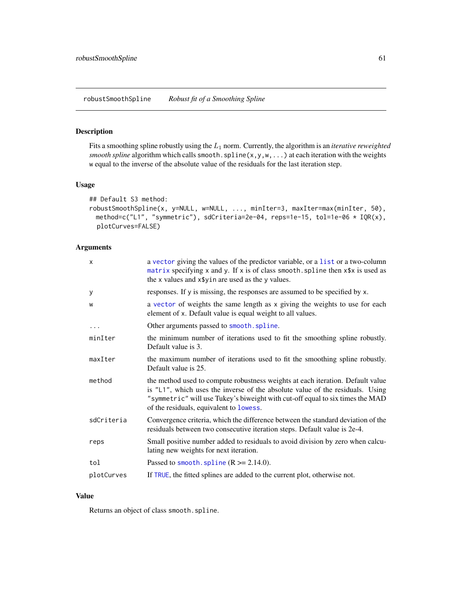#### <span id="page-60-1"></span><span id="page-60-0"></span>Description

Fits a smoothing spline robustly using the L<sup>1</sup> norm. Currently, the algorithm is an *iterative reweighted smooth spline* algorithm which calls smooth.spline(x,y,w,...) at each iteration with the weights w equal to the inverse of the absolute value of the residuals for the last iteration step.

#### Usage

```
## Default S3 method:
robustSmoothSpline(x, y=NULL, w=NULL, ..., minIter=3, maxIter=max(minIter, 50),
 method=c("L1", "symmetric"), sdCriteria=2e-04, reps=1e-15, tol=1e-06 * IQR(x),
 plotCurves=FALSE)
```
## Arguments

| X          | a vector giving the values of the predictor variable, or a list or a two-column<br>matrix specifying x and y. If x is of class smooth. spline then x\$x is used as<br>the x values and x\$yin are used as the y values.                                                                     |
|------------|---------------------------------------------------------------------------------------------------------------------------------------------------------------------------------------------------------------------------------------------------------------------------------------------|
| У          | responses. If y is missing, the responses are assumed to be specified by x.                                                                                                                                                                                                                 |
| W          | a vector of weights the same length as x giving the weights to use for each<br>element of x. Default value is equal weight to all values.                                                                                                                                                   |
| $\ddots$   | Other arguments passed to smooth. spline.                                                                                                                                                                                                                                                   |
| minIter    | the minimum number of iterations used to fit the smoothing spline robustly.<br>Default value is 3.                                                                                                                                                                                          |
| maxIter    | the maximum number of iterations used to fit the smoothing spline robustly.<br>Default value is 25.                                                                                                                                                                                         |
| method     | the method used to compute robustness weights at each iteration. Default value<br>is "L1", which uses the inverse of the absolute value of the residuals. Using<br>"symmetric" will use Tukey's biweight with cut-off equal to six times the MAD<br>of the residuals, equivalent to lowess. |
| sdCriteria | Convergence criteria, which the difference between the standard deviation of the<br>residuals between two consecutive iteration steps. Default value is 2e-4.                                                                                                                               |
| reps       | Small positive number added to residuals to avoid division by zero when calcu-<br>lating new weights for next iteration.                                                                                                                                                                    |
| tol        | Passed to smooth. spline $(R \ge 2.14.0)$ .                                                                                                                                                                                                                                                 |
| plotCurves | If TRUE, the fitted splines are added to the current plot, otherwise not.                                                                                                                                                                                                                   |

## Value

Returns an object of class smooth.spline.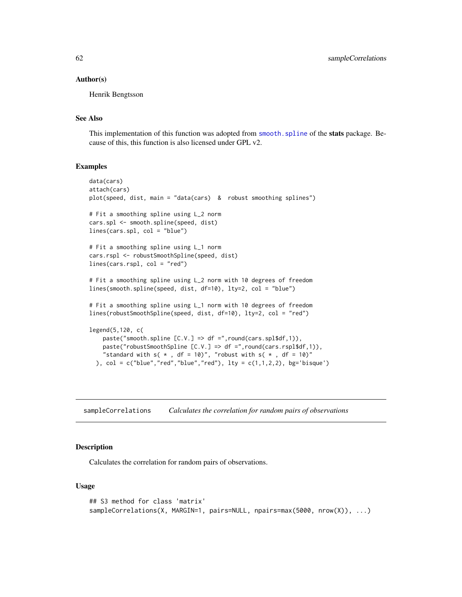#### <span id="page-61-0"></span>Author(s)

Henrik Bengtsson

## See Also

This implementation of this function was adopted from smooth. spline of the stats package. Because of this, this function is also licensed under GPL v2.

#### Examples

```
data(cars)
attach(cars)
plot(speed, dist, main = "data(cars) & robust smoothing splines")
# Fit a smoothing spline using L_2 norm
cars.spl <- smooth.spline(speed, dist)
lines(cars.spl, col = "blue")
# Fit a smoothing spline using L_1 norm
cars.rspl <- robustSmoothSpline(speed, dist)
lines(cars.rspl, col = "red")
# Fit a smoothing spline using L_2 norm with 10 degrees of freedom
lines(smooth.spline(speed, dist, df=10), lty=2, col = "blue")
# Fit a smoothing spline using L_1 norm with 10 degrees of freedom
lines(robustSmoothSpline(speed, dist, df=10), lty=2, col = "red")
legend(5,120, c(
   paste("smooth.spline [C.V.] => df =",round(cars.spl$df,1)),
   paste("robustSmoothSpline [C.V.] => df =",round(cars.rspl$df,1)),
    "standard with s( * , df = 10)", "robust with s( * , df = 10)"
 ), col = c("blue", "red", "blue", "red"), lty = c(1,1,2,2), bg='bisque')
```
sampleCorrelations *Calculates the correlation for random pairs of observations*

## Description

Calculates the correlation for random pairs of observations.

#### Usage

```
## S3 method for class 'matrix'
sampleCorrelations(X, MARGIN=1, pairs=NULL, npairs=max(5000, nrow(X)), ...)
```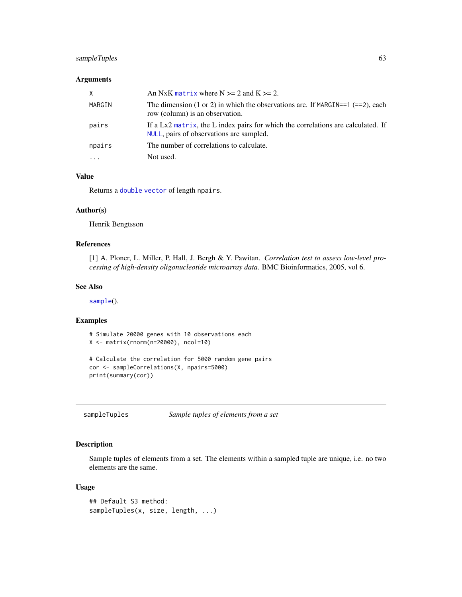## <span id="page-62-0"></span>sampleTuples 63

## Arguments

| X      | An NxK matrix where $N \ge 2$ and $K \ge 2$ .                                                                                |
|--------|------------------------------------------------------------------------------------------------------------------------------|
| MARGIN | The dimension (1 or 2) in which the observations are. If MARGIN==1 $(==2)$ , each<br>row (column) is an observation.         |
| pairs  | If a Lx2 matrix, the L index pairs for which the correlations are calculated. If<br>NULL, pairs of observations are sampled. |
| npairs | The number of correlations to calculate.                                                                                     |
|        | Not used.                                                                                                                    |

## Value

Returns a [double](#page-0-0) [vector](#page-0-0) of length npairs.

## Author(s)

Henrik Bengtsson

## References

[1] A. Ploner, L. Miller, P. Hall, J. Bergh & Y. Pawitan. *Correlation test to assess low-level processing of high-density oligonucleotide microarray data*. BMC Bioinformatics, 2005, vol 6.

## See Also

[sample](#page-0-0)().

#### Examples

# Simulate 20000 genes with 10 observations each X <- matrix(rnorm(n=20000), ncol=10)

```
# Calculate the correlation for 5000 random gene pairs
cor <- sampleCorrelations(X, npairs=5000)
print(summary(cor))
```
sampleTuples *Sample tuples of elements from a set*

## Description

Sample tuples of elements from a set. The elements within a sampled tuple are unique, i.e. no two elements are the same.

#### Usage

```
## Default S3 method:
sampleTuples(x, size, length, ...)
```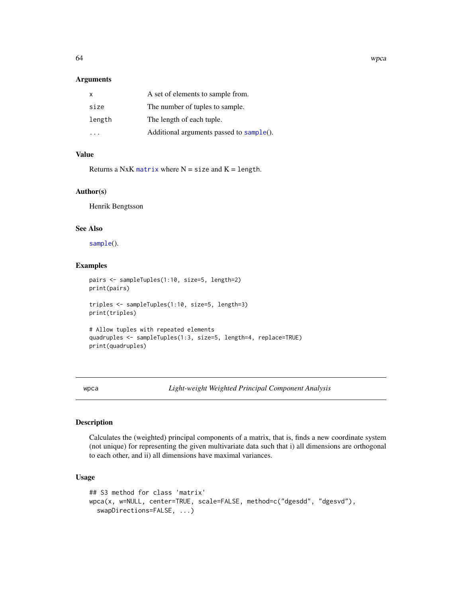#### Arguments

| X      | A set of elements to sample from.        |
|--------|------------------------------------------|
| size   | The number of tuples to sample.          |
| length | The length of each tuple.                |
|        | Additional arguments passed to sample(). |

## Value

Returns a NxK [matrix](#page-0-0) where  $N = size$  and  $K = length$ .

## Author(s)

Henrik Bengtsson

## See Also

[sample](#page-0-0)().

## Examples

```
pairs <- sampleTuples(1:10, size=5, length=2)
print(pairs)
triples <- sampleTuples(1:10, size=5, length=3)
print(triples)
# Allow tuples with repeated elements
quadruples <- sampleTuples(1:3, size=5, length=4, replace=TRUE)
print(quadruples)
```
<span id="page-63-1"></span>wpca *Light-weight Weighted Principal Component Analysis*

## Description

Calculates the (weighted) principal components of a matrix, that is, finds a new coordinate system (not unique) for representing the given multivariate data such that i) all dimensions are orthogonal to each other, and ii) all dimensions have maximal variances.

## Usage

```
## S3 method for class 'matrix'
wpca(x, w=NULL, center=TRUE, scale=FALSE, method=c("dgesdd", "dgesvd"),
  swapDirections=FALSE, ...)
```
<span id="page-63-0"></span>64 wpca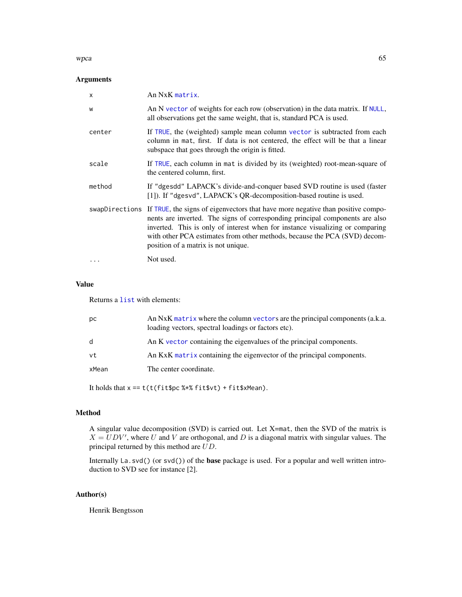#### <span id="page-64-0"></span>wpca 65

## Arguments

| $\mathsf{x}$ | An NxK matrix.                                                                                                                                                                                                                                                                                                                                                                      |
|--------------|-------------------------------------------------------------------------------------------------------------------------------------------------------------------------------------------------------------------------------------------------------------------------------------------------------------------------------------------------------------------------------------|
| W            | An N vector of weights for each row (observation) in the data matrix. If NULL,<br>all observations get the same weight, that is, standard PCA is used.                                                                                                                                                                                                                              |
| center       | If TRUE, the (weighted) sample mean column vector is subtracted from each<br>column in mat, first. If data is not centered, the effect will be that a linear<br>subspace that goes through the origin is fitted.                                                                                                                                                                    |
| scale        | If TRUE, each column in mat is divided by its (weighted) root-mean-square of<br>the centered column, first.                                                                                                                                                                                                                                                                         |
| method       | If "dgesdd" LAPACK's divide-and-conquer based SVD routine is used (faster<br>[1]). If "dgesvd", LAPACK's QR-decomposition-based routine is used.                                                                                                                                                                                                                                    |
|              | swapDirections If TRUE, the signs of eigenvectors that have more negative than positive compo-<br>nents are inverted. The signs of corresponding principal components are also<br>inverted. This is only of interest when for instance visualizing or comparing<br>with other PCA estimates from other methods, because the PCA (SVD) decom-<br>position of a matrix is not unique. |
|              | Not used.                                                                                                                                                                                                                                                                                                                                                                           |

## Value

Returns a [list](#page-0-0) with elements:

| рc    | An NxK matrix where the column vectors are the principal components (a.k.a.<br>loading vectors, spectral loadings or factors etc). |
|-------|------------------------------------------------------------------------------------------------------------------------------------|
| d     | An K vector containing the eigenvalues of the principal components.                                                                |
| vt    | An KxK matrix containing the eigenvector of the principal components.                                                              |
| xMean | The center coordinate.                                                                                                             |
|       |                                                                                                                                    |

It holds that  $x == t(t(fit$ pc %\*% fit\$vt) + fit\$xMean).

## Method

A singular value decomposition (SVD) is carried out. Let X=mat, then the SVD of the matrix is  $X = UDV'$ , where U and V are orthogonal, and D is a diagonal matrix with singular values. The principal returned by this method are UD.

Internally La.svd() (or svd()) of the base package is used. For a popular and well written introduction to SVD see for instance [2].

## Author(s)

Henrik Bengtsson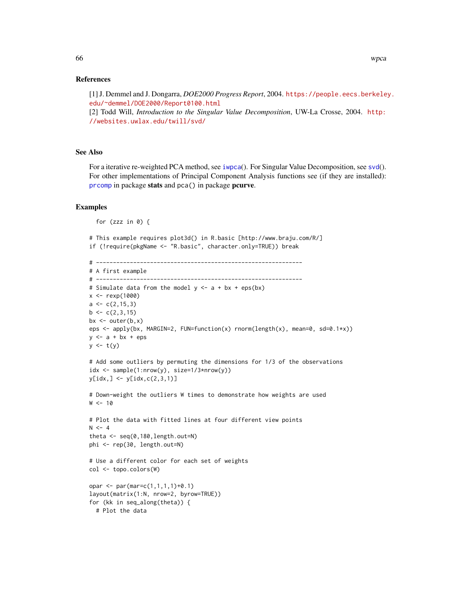#### References

[1] J. Demmel and J. Dongarra, *DOE2000 Progress Report*, 2004. [https://people.eecs.berkele](https://people.eecs.berkeley.edu/~demmel/DOE2000/Report0100.html)y. [edu/~demmel/DOE2000/Report0100.html](https://people.eecs.berkeley.edu/~demmel/DOE2000/Report0100.html)

[2] Todd Will, *Introduction to the Singular Value Decomposition*, UW-La Crosse, 2004. [http:](http://websites.uwlax.edu/twill/svd/) [//websites.uwlax.edu/twill/svd/](http://websites.uwlax.edu/twill/svd/)

#### See Also

For a iterative re-weighted PCA method, see [iwpca](#page-26-1)(). For Singular Value Decomposition, see [svd](#page-0-0)(). For other implementations of Principal Component Analysis functions see (if they are installed): [prcomp](#page-0-0) in package stats and pca() in package pcurve.

#### Examples

```
for (zzz in \emptyset) {
```

```
# This example requires plot3d() in R.basic [http://www.braju.com/R/]
if (!require(pkgName <- "R.basic", character.only=TRUE)) break
```

```
# -------------------------------------------------------------
# A first example
# -------------------------------------------------------------
# Simulate data from the model y \leq -a + bx + \text{eps}(bx)x < - rexp(1000)
a \leftarrow c(2, 15, 3)b \leftarrow c(2,3,15)bx \leftarrow outer(b, x)eps <- apply(bx, MARGIN=2, FUN=function(x) rnorm(length(x), mean=0, sd=0.1*x))
y \leq -a + bx + epsy \leftarrow t(y)# Add some outliers by permuting the dimensions for 1/3 of the observations
idx \leq sample(1:nrow(y), size=1/3*nrow(y))
y[idx, ] \leftarrow y[idx, c(2, 3, 1)]# Down-weight the outliers W times to demonstrate how weights are used
W < - 10# Plot the data with fitted lines at four different view points
N < -4theta \leq seq(0,180, length.out=N)
phi <- rep(30, length.out=N)
# Use a different color for each set of weights
col <- topo.colors(W)
opar <- par(mar=c(1,1,1,1)+0.1)
layout(matrix(1:N, nrow=2, byrow=TRUE))
for (kk in seq_along(theta)) {
  # Plot the data
```
<span id="page-65-0"></span>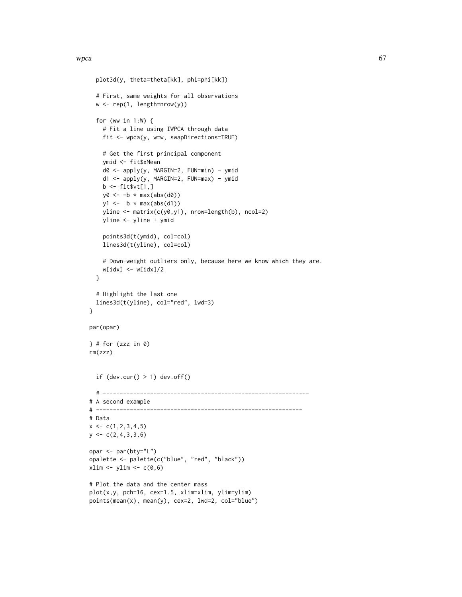```
plot3d(y, theta=theta[kk], phi=phi[kk])
  # First, same weights for all observations
  w \leftarrow \text{rep}(1, \text{length}=\text{nrow}(y))for (ww in 1:W) {
    # Fit a line using IWPCA through data
    fit <- wpca(y, w=w, swapDirections=TRUE)
    # Get the first principal component
    ymid <- fit$xMean
    d0 <- apply(y, MARGIN=2, FUN=min) - ymid
    d1 <- apply(y, MARGIN=2, FUN=max) - ymid
    b \leftarrow \text{fit} \text{wt}[1,]y0 \leftarrow -b * max(abs(d0))y1 \leftarrow b * max(abs(d1))yline <- matrix(c(y0,y1), nrow=length(b), ncol=2)
    yline <- yline + ymid
    points3d(t(ymid), col=col)
    lines3d(t(yline), col=col)
    # Down-weight outliers only, because here we know which they are.
    w[idx] <- w[idx]/2
  }
  # Highlight the last one
  lines3d(t(yline), col="red", lwd=3)
}
par(opar)
\} # for (zzz in 0)
rm(zzz)
  if dev.cur() > 1) dev.off()# -------------------------------------------------------------
# A second example
# -------------------------------------------------------------
# Data
x \leftarrow c(1, 2, 3, 4, 5)y \leftarrow c(2, 4, 3, 3, 6)opar <- par(bty="L")
opalette <- palette(c("blue", "red", "black"))
xlim \leftarrow ylim \leftarrow c(0,6)# Plot the data and the center mass
plot(x,y, pch=16, cex=1.5, xlim=xlim, ylim=ylim)
points(mean(x), mean(y), cex=2, lwd=2, col="blue")
```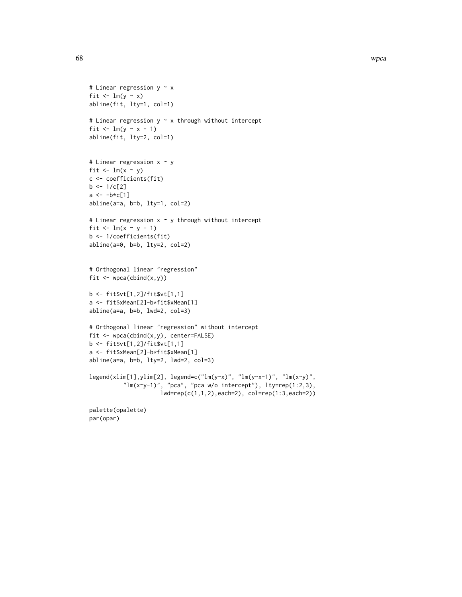```
# Linear regression y \sim xfit \leftarrow lm(y \sim x)
abline(fit, lty=1, col=1)
# Linear regression y \sim x through without intercept
fit \leftarrow lm(y \sim x - 1)
abline(fit, lty=2, col=1)
# Linear regression x ~ y
fit \leftarrow lm(x \sim y)c <- coefficients(fit)
b \le -1/c[2]a \leftarrow -b \star c[1]abline(a=a, b=b, lty=1, col=2)
# Linear regression x ~ y through without intercept
fit \leftarrow lm(x \sim y - 1)b <- 1/coefficients(fit)
abline(a=0, b=b, lty=2, col=2)
# Orthogonal linear "regression"
fit \leq wpca(cbind(x,y))
b <- fit$vt[1,2]/fit$vt[1,1]
a <- fit$xMean[2]-b*fit$xMean[1]
abline(a=a, b=b, lwd=2, col=3)
# Orthogonal linear "regression" without intercept
fit <- wpca(cbind(x,y), center=FALSE)
b <- fit$vt[1,2]/fit$vt[1,1]
a <- fit$xMean[2]-b*fit$xMean[1]
abline(a=a, b=b, lty=2, lwd=2, col=3)
legend(xlim[1],ylim[2], legend=c("lm(y~x)", "lm(y~x-1)", "lm(x~y)",
           "\ln(x-y-1)", "pca", "pca w/o intercept"), ly=rep(1:2,3),
                      lwd=rep(c(1,1,2),each=2), col=rep(1:3,each=2))
palette(opalette)
par(opar)
```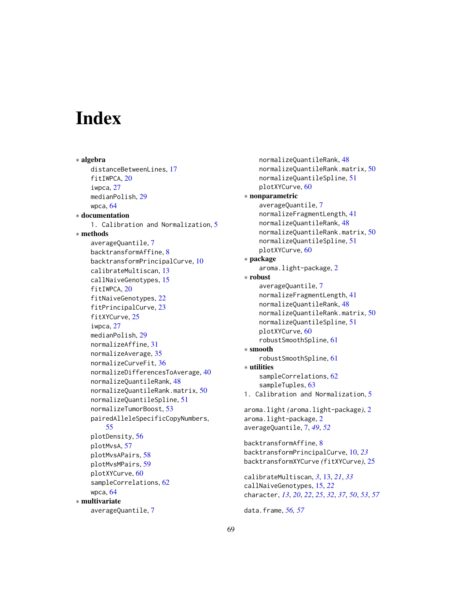# <span id="page-68-0"></span>**Index**

∗ algebra distanceBetweenLines, [17](#page-16-0) fitIWPCA, [20](#page-19-0) iwpca, [27](#page-26-0) medianPolish, [29](#page-28-0) wpca, [64](#page-63-0) ∗ documentation 1. Calibration and Normalization, [5](#page-4-0) ∗ methods averageQuantile, [7](#page-6-0) backtransformAffine, [8](#page-7-0) backtransformPrincipalCurve, [10](#page-9-0) calibrateMultiscan, [13](#page-12-0) callNaiveGenotypes, [15](#page-14-0) fitIWPCA, [20](#page-19-0) fitNaiveGenotypes, [22](#page-21-0) fitPrincipalCurve, [23](#page-22-0) fitXYCurve, [25](#page-24-0) iwpca, [27](#page-26-0) medianPolish, [29](#page-28-0) normalizeAffine, [31](#page-30-0) normalizeAverage, [35](#page-34-0) normalizeCurveFit, [36](#page-35-0) normalizeDifferencesToAverage, [40](#page-39-0) normalizeQuantileRank, [48](#page-47-0) normalizeQuantileRank.matrix, [50](#page-49-0) normalizeQuantileSpline, [51](#page-50-0) normalizeTumorBoost, [53](#page-52-0) pairedAlleleSpecificCopyNumbers, [55](#page-54-0) plotDensity, [56](#page-55-0) plotMvsA, [57](#page-56-0) plotMvsAPairs, [58](#page-57-0) plotMvsMPairs, [59](#page-58-0) plotXYCurve, [60](#page-59-0) sampleCorrelations, [62](#page-61-0) wpca, [64](#page-63-0) ∗ multivariate averageQuantile, [7](#page-6-0)

normalizeQuantileRank, [48](#page-47-0) normalizeQuantileRank.matrix, [50](#page-49-0) normalizeQuantileSpline, [51](#page-50-0) plotXYCurve, [60](#page-59-0) ∗ nonparametric averageQuantile, [7](#page-6-0) normalizeFragmentLength, [41](#page-40-0) normalizeQuantileRank, [48](#page-47-0) normalizeQuantileRank.matrix, [50](#page-49-0) normalizeQuantileSpline, [51](#page-50-0) plotXYCurve, [60](#page-59-0) ∗ package aroma.light-package, [2](#page-1-0) ∗ robust averageQuantile, [7](#page-6-0) normalizeFragmentLength, [41](#page-40-0) normalizeQuantileRank, [48](#page-47-0) normalizeQuantileRank.matrix, [50](#page-49-0) normalizeQuantileSpline, [51](#page-50-0) plotXYCurve, [60](#page-59-0) robustSmoothSpline, [61](#page-60-0) ∗ smooth robustSmoothSpline, [61](#page-60-0) ∗ utilities sampleCorrelations, [62](#page-61-0) sampleTuples, [63](#page-62-0) 1. Calibration and Normalization, [5](#page-4-0) aroma.light *(*aroma.light-package*)*, [2](#page-1-0) aroma.light-package, [2](#page-1-0) averageQuantile, [7,](#page-6-0) *[49](#page-48-0)*, *[52](#page-51-0)* backtransformAffine, [8](#page-7-0) backtransformPrincipalCurve, [10,](#page-9-0) *[23](#page-22-0)* backtransformXYCurve *(*fitXYCurve*)*, [25](#page-24-0) calibrateMultiscan, *[3](#page-2-0)*, [13,](#page-12-0) *[21](#page-20-0)*, *[33](#page-32-0)* callNaiveGenotypes, [15,](#page-14-0) *[22](#page-21-0)* character, *[13](#page-12-0)*, *[20](#page-19-0)*, *[22](#page-21-0)*, *[25](#page-24-0)*, *[32](#page-31-0)*, *[37](#page-36-0)*, *[50](#page-49-0)*, *[53](#page-52-0)*, *[57](#page-56-0)*

data.frame, *[56,](#page-55-0) [57](#page-56-0)*